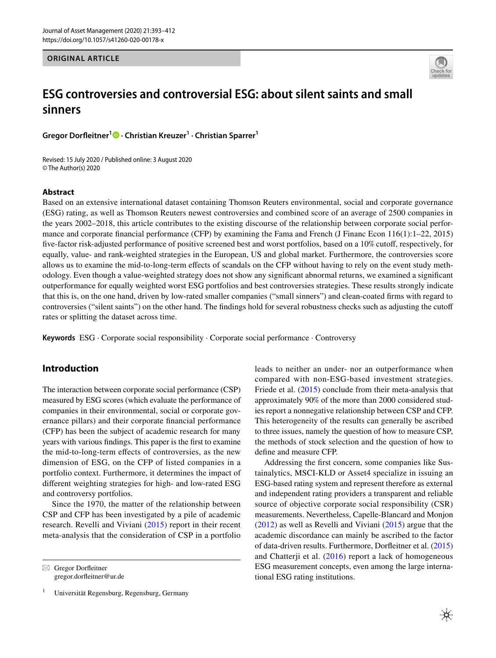## **ORIGINAL ARTICLE**



# **ESG controversies and controversial ESG: about silent saints and small sinners**

**Gregor Dorfeitner[1](http://orcid.org/0000-0003-0270-0660) · Christian Kreuzer1 · Christian Sparrer1**

Revised: 15 July 2020 / Published online: 3 August 2020 © The Author(s) 2020

#### **Abstract**

Based on an extensive international dataset containing Thomson Reuters environmental, social and corporate governance (ESG) rating, as well as Thomson Reuters newest controversies and combined score of an average of 2500 companies in the years 2002–2018, this article contributes to the existing discourse of the relationship between corporate social performance and corporate fnancial performance (CFP) by examining the Fama and French (J Financ Econ 116(1):1–22, 2015) five-factor risk-adjusted performance of positive screened best and worst portfolios, based on a 10% cutoff, respectively, for equally, value- and rank-weighted strategies in the European, US and global market. Furthermore, the controversies score allows us to examine the mid-to-long-term efects of scandals on the CFP without having to rely on the event study methodology. Even though a value-weighted strategy does not show any signifcant abnormal returns, we examined a signifcant outperformance for equally weighted worst ESG portfolios and best controversies strategies. These results strongly indicate that this is, on the one hand, driven by low-rated smaller companies ("small sinners") and clean-coated frms with regard to controversies ("silent saints") on the other hand. The fndings hold for several robustness checks such as adjusting the cutof rates or splitting the dataset across time.

**Keywords** ESG · Corporate social responsibility · Corporate social performance · Controversy

# **Introduction**

The interaction between corporate social performance (CSP) measured by ESG scores (which evaluate the performance of companies in their environmental, social or corporate governance pillars) and their corporate fnancial performance (CFP) has been the subject of academic research for many years with various fndings. This paper is the frst to examine the mid-to-long-term efects of controversies, as the new dimension of ESG, on the CFP of listed companies in a portfolio context. Furthermore, it determines the impact of diferent weighting strategies for high- and low-rated ESG and controversy portfolios.

Since the 1970, the matter of the relationship between CSP and CFP has been investigated by a pile of academic research. Revelli and Viviani ([2015\)](#page-19-0) report in their recent meta-analysis that the consideration of CSP in a portfolio

 $\boxtimes$  Gregor Dorfleitner gregor.dorfeitner@ur.de leads to neither an under- nor an outperformance when compared with non-ESG-based investment strategies. Friede et al. [\(2015](#page-18-0)) conclude from their meta-analysis that approximately 90% of the more than 2000 considered studies report a nonnegative relationship between CSP and CFP. This heterogeneity of the results can generally be ascribed to three issues, namely the question of how to measure CSP, the methods of stock selection and the question of how to defne and measure CFP.

Addressing the frst concern, some companies like Sustainalytics, MSCI-KLD or Asset4 specialize in issuing an ESG-based rating system and represent therefore as external and independent rating providers a transparent and reliable source of objective corporate social responsibility (CSR) measurements. Nevertheless, Capelle-Blancard and Monjon ([2012\)](#page-18-1) as well as Revelli and Viviani ([2015\)](#page-19-0) argue that the academic discordance can mainly be ascribed to the factor of data-driven results. Furthermore, Dorfeitner et al. ([2015\)](#page-18-2) and Chatterji et al. ([2016](#page-18-3)) report a lack of homogeneous ESG measurement concepts, even among the large international ESG rating institutions.

<sup>1</sup> Universität Regensburg, Regensburg, Germany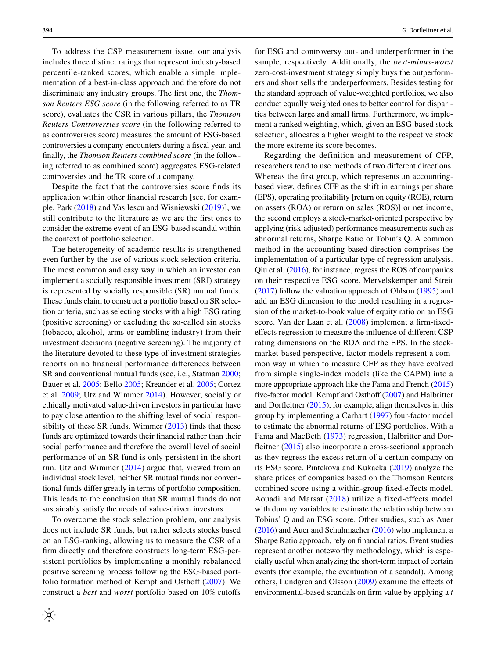To address the CSP measurement issue, our analysis includes three distinct ratings that represent industry-based percentile-ranked scores, which enable a simple implementation of a best-in-class approach and therefore do not discriminate any industry groups. The frst one, the *Thomson Reuters ESG score* (in the following referred to as TR score), evaluates the CSR in various pillars, the *Thomson Reuters Controversies score* (in the following referred to as controversies score) measures the amount of ESG-based controversies a company encounters during a fscal year, and fnally, the *Thomson Reuters combined score* (in the following referred to as combined score) aggregates ESG-related controversies and the TR score of a company.

Despite the fact that the controversies score fnds its application within other fnancial research [see, for example, Park [\(2018\)](#page-18-4) and Vasilescu and Wisniewski ([2019\)](#page-19-1)], we still contribute to the literature as we are the frst ones to consider the extreme event of an ESG-based scandal within the context of portfolio selection.

The heterogeneity of academic results is strengthened even further by the use of various stock selection criteria. The most common and easy way in which an investor can implement a socially responsible investment (SRI) strategy is represented by socially responsible (SR) mutual funds. These funds claim to construct a portfolio based on SR selection criteria, such as selecting stocks with a high ESG rating (positive screening) or excluding the so-called sin stocks (tobacco, alcohol, arms or gambling industry) from their investment decisions (negative screening). The majority of the literature devoted to these type of investment strategies reports on no fnancial performance diferences between SR and conventional mutual funds (see, i.e., Statman [2000](#page-19-2); Bauer et al. [2005;](#page-18-5) Bello [2005](#page-18-6); Kreander et al. [2005;](#page-18-7) Cortez et al. [2009;](#page-18-8) Utz and Wimmer [2014](#page-19-3)). However, socially or ethically motivated value-driven investors in particular have to pay close attention to the shifting level of social respon-sibility of these SR funds. Wimmer ([2013\)](#page-19-4) finds that these funds are optimized towards their fnancial rather than their social performance and therefore the overall level of social performance of an SR fund is only persistent in the short run. Utz and Wimmer ([2014](#page-19-3)) argue that, viewed from an individual stock level, neither SR mutual funds nor conventional funds difer greatly in terms of portfolio composition. This leads to the conclusion that SR mutual funds do not sustainably satisfy the needs of value-driven investors.

To overcome the stock selection problem, our analysis does not include SR funds, but rather selects stocks based on an ESG-ranking, allowing us to measure the CSR of a frm directly and therefore constructs long-term ESG-persistent portfolios by implementing a monthly rebalanced positive screening process following the ESG-based portfolio formation method of Kempf and Osthoff  $(2007)$ . We construct a *best* and *worst* portfolio based on 10% cutofs for ESG and controversy out- and underperformer in the sample, respectively. Additionally, the *best-minus-worst* zero-cost-investment strategy simply buys the outperformers and short sells the underperformers. Besides testing for the standard approach of value-weighted portfolios, we also conduct equally weighted ones to better control for disparities between large and small frms. Furthermore, we implement a ranked weighting, which, given an ESG-based stock selection, allocates a higher weight to the respective stock the more extreme its score becomes.

Regarding the definition and measurement of CFP, researchers tend to use methods of two diferent directions. Whereas the frst group, which represents an accountingbased view, defnes CFP as the shift in earnings per share (EPS), operating proftability [return on equity (ROE), return on assets (ROA) or return on sales (ROS)] or net income, the second employs a stock-market-oriented perspective by applying (risk-adjusted) performance measurements such as abnormal returns, Sharpe Ratio or Tobin's Q. A common method in the accounting-based direction comprises the implementation of a particular type of regression analysis. Qiu et al. [\(2016](#page-19-5)), for instance, regress the ROS of companies on their respective ESG score. Mervelskemper and Streit ([2017\)](#page-18-10) follow the valuation approach of Ohlson ([1995\)](#page-18-11) and add an ESG dimension to the model resulting in a regression of the market-to-book value of equity ratio on an ESG score. Van der Laan et al. ([2008](#page-19-6)) implement a frm-fxedefects regression to measure the infuence of diferent CSP rating dimensions on the ROA and the EPS. In the stockmarket-based perspective, factor models represent a common way in which to measure CFP as they have evolved from simple single-index models (like the CAPM) into a more appropriate approach like the Fama and French ([2015\)](#page-18-12) five-factor model. Kempf and Osthoff [\(2007](#page-18-9)) and Halbritter and Dorfeitner ([2015\)](#page-18-13), for example, align themselves in this group by implementing a Carhart [\(1997](#page-18-14)) four-factor model to estimate the abnormal returns of ESG portfolios. With a Fama and MacBeth ([1973](#page-18-15)) regression, Halbritter and Dorfeitner [\(2015\)](#page-18-13) also incorporate a cross-sectional approach as they regress the excess return of a certain company on its ESG score. Pintekova and Kukacka [\(2019](#page-19-7)) analyze the share prices of companies based on the Thomson Reuters combined score using a within-group fxed-efects model. Aouadi and Marsat ([2018](#page-17-0)) utilize a fixed-effects model with dummy variables to estimate the relationship between Tobins' Q and an ESG score. Other studies, such as Auer [\(2016](#page-18-16)) and Auer and Schuhmacher ([2016\)](#page-18-17) who implement a Sharpe Ratio approach, rely on fnancial ratios. Event studies represent another noteworthy methodology, which is especially useful when analyzing the short-term impact of certain events (for example, the eventuation of a scandal). Among others, Lundgren and Olsson [\(2009](#page-18-18)) examine the efects of environmental-based scandals on frm value by applying a *t*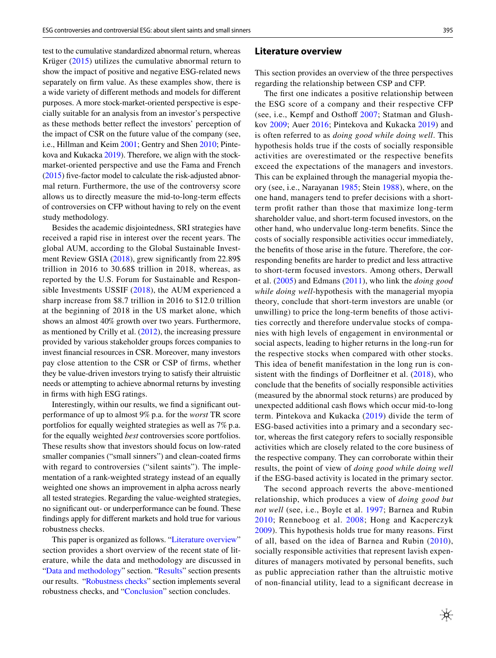test to the cumulative standardized abnormal return, whereas Krüger ([2015](#page-18-19)) utilizes the cumulative abnormal return to show the impact of positive and negative ESG-related news separately on frm value. As these examples show, there is a wide variety of diferent methods and models for diferent purposes. A more stock-market-oriented perspective is especially suitable for an analysis from an investor's perspective as these methods better refect the investors' perception of the impact of CSR on the future value of the company (see, i.e., Hillman and Keim [2001;](#page-18-20) Gentry and Shen [2010;](#page-18-21) Pintekova and Kukacka [2019](#page-19-7)). Therefore, we align with the stockmarket-oriented perspective and use the Fama and French [\(2015](#page-18-12)) fve-factor model to calculate the risk-adjusted abnormal return. Furthermore, the use of the controversy score allows us to directly measure the mid-to-long-term efects of controversies on CFP without having to rely on the event study methodology.

Besides the academic disjointedness, SRI strategies have received a rapid rise in interest over the recent years. The global AUM, according to the Global Sustainable Invest-ment Review GSIA ([2018](#page-18-22)), grew significantly from 22.89\$ trillion in 2016 to 30.68\$ trillion in 2018, whereas, as reported by the U.S. Forum for Sustainable and Responsible Investments USSIF [\(2018\)](#page-19-8), the AUM experienced a sharp increase from \$8.7 trillion in 2016 to \$12.0 trillion at the beginning of 2018 in the US market alone, which shows an almost 40% growth over two years. Furthermore, as mentioned by Crilly et al. [\(2012](#page-18-23)), the increasing pressure provided by various stakeholder groups forces companies to invest fnancial resources in CSR. Moreover, many investors pay close attention to the CSR or CSP of frms, whether they be value-driven investors trying to satisfy their altruistic needs or attempting to achieve abnormal returns by investing in frms with high ESG ratings.

Interestingly, within our results, we fnd a signifcant outperformance of up to almost 9% p.a. for the *worst* TR score portfolios for equally weighted strategies as well as 7% p.a. for the equally weighted *best* controversies score portfolios. These results show that investors should focus on low-rated smaller companies ("small sinners") and clean-coated frms with regard to controversies ("silent saints"). The implementation of a rank-weighted strategy instead of an equally weighted one shows an improvement in alpha across nearly all tested strategies. Regarding the value-weighted strategies, no signifcant out- or underperformance can be found. These fndings apply for diferent markets and hold true for various robustness checks.

This paper is organized as follows. ["Literature overview"](#page-2-0) section provides a short overview of the recent state of literature, while the data and methodology are discussed in ["Data and methodology"](#page-4-0) section. ["Results](#page-6-0)" section presents our results. ["Robustness checks"](#page-12-0) section implements several robustness checks, and "[Conclusion"](#page-17-1) section concludes.

#### <span id="page-2-0"></span>**Literature overview**

This section provides an overview of the three perspectives regarding the relationship between CSP and CFP.

The frst one indicates a positive relationship between the ESG score of a company and their respective CFP (see, i.e., Kempf and Osthoff [2007;](#page-18-9) Statman and Glushkov [2009;](#page-19-9) Auer [2016](#page-18-16); Pintekova and Kukacka [2019](#page-19-7)) and is often referred to as *doing good while doing well*. This hypothesis holds true if the costs of socially responsible activities are overestimated or the respective benefits exceed the expectations of the managers and investors. This can be explained through the managerial myopia theory (see, i.e., Narayanan [1985](#page-18-24); Stein [1988\)](#page-19-10), where, on the one hand, managers tend to prefer decisions with a shortterm proft rather than those that maximize long-term shareholder value, and short-term focused investors, on the other hand, who undervalue long-term benefts. Since the costs of socially responsible activities occur immediately, the benefts of those arise in the future. Therefore, the corresponding benefts are harder to predict and less attractive to short-term focused investors. Among others, Derwall et al. ([2005\)](#page-18-25) and Edmans ([2011](#page-18-26)), who link the *doing good while doing well*-hypothesis with the managerial myopia theory, conclude that short-term investors are unable (or unwilling) to price the long-term benefts of those activities correctly and therefore undervalue stocks of companies with high levels of engagement in environmental or social aspects, leading to higher returns in the long-run for the respective stocks when compared with other stocks. This idea of beneft manifestation in the long run is consistent with the findings of Dorfleitner et al.  $(2018)$  $(2018)$ , who conclude that the benefts of socially responsible activities (measured by the abnormal stock returns) are produced by unexpected additional cash fows which occur mid-to-long term. Pintekova and Kukacka ([2019](#page-19-7)) divide the term of ESG-based activities into a primary and a secondary sector, whereas the frst category refers to socially responsible activities which are closely related to the core business of the respective company. They can corroborate within their results, the point of view of *doing good while doing well* if the ESG-based activity is located in the primary sector.

The second approach reverts the above-mentioned relationship, which produces a view of *doing good but not well* (see, i.e., Boyle et al. [1997](#page-18-28); Barnea and Rubin [2010;](#page-18-29) Renneboog et al. [2008](#page-19-11); Hong and Kacperczyk [2009\)](#page-18-30). This hypothesis holds true for many reasons. First of all, based on the idea of Barnea and Rubin ([2010](#page-18-29)), socially responsible activities that represent lavish expenditures of managers motivated by personal benefts, such as public appreciation rather than the altruistic motive of non-fnancial utility, lead to a signifcant decrease in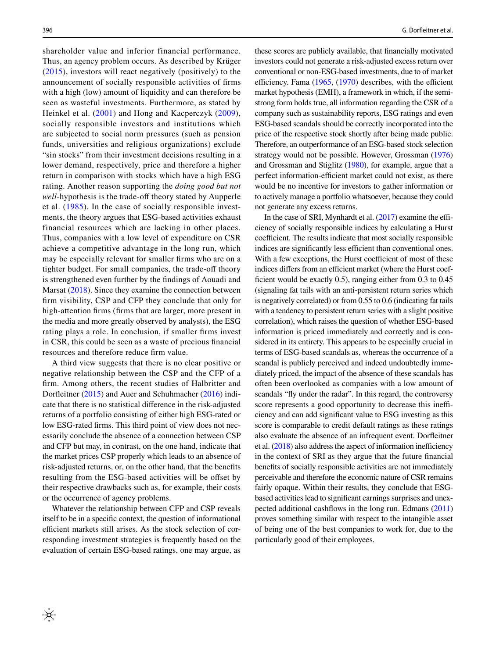shareholder value and inferior financial performance. Thus, an agency problem occurs. As described by Krüger ([2015](#page-18-19)), investors will react negatively (positively) to the announcement of socially responsible activities of frms with a high (low) amount of liquidity and can therefore be seen as wasteful investments. Furthermore, as stated by Heinkel et al. ([2001\)](#page-18-31) and Hong and Kacperczyk ([2009\)](#page-18-30), socially responsible investors and institutions which are subjected to social norm pressures (such as pension funds, universities and religious organizations) exclude "sin stocks" from their investment decisions resulting in a lower demand, respectively, price and therefore a higher return in comparison with stocks which have a high ESG rating. Another reason supporting the *doing good but not well*-hypothesis is the trade-off theory stated by Aupperle et al. [\(1985\)](#page-18-32). In the case of socially responsible investments, the theory argues that ESG-based activities exhaust financial resources which are lacking in other places. Thus, companies with a low level of expenditure on CSR achieve a competitive advantage in the long run, which may be especially relevant for smaller frms who are on a tighter budget. For small companies, the trade-off theory is strengthened even further by the fndings of Aouadi and Marsat ([2018](#page-17-0)). Since they examine the connection between frm visibility, CSP and CFP they conclude that only for high-attention firms (firms that are larger, more present in the media and more greatly observed by analysts), the ESG rating plays a role. In conclusion, if smaller frms invest in CSR, this could be seen as a waste of precious fnancial resources and therefore reduce frm value.

A third view suggests that there is no clear positive or negative relationship between the CSP and the CFP of a frm. Among others, the recent studies of Halbritter and Dorfleitner [\(2015](#page-18-13)) and Auer and Schuhmacher [\(2016](#page-18-17)) indicate that there is no statistical diference in the risk-adjusted returns of a portfolio consisting of either high ESG-rated or low ESG-rated frms. This third point of view does not necessarily conclude the absence of a connection between CSP and CFP but may, in contrast, on the one hand, indicate that the market prices CSP properly which leads to an absence of risk-adjusted returns, or, on the other hand, that the benefts resulting from the ESG-based activities will be offset by their respective drawbacks such as, for example, their costs or the occurrence of agency problems.

Whatever the relationship between CFP and CSP reveals itself to be in a specifc context, the question of informational efficient markets still arises. As the stock selection of corresponding investment strategies is frequently based on the evaluation of certain ESG-based ratings, one may argue, as

these scores are publicly available, that fnancially motivated investors could not generate a risk-adjusted excess return over conventional or non-ESG-based investments, due to of market efficiency. Fama  $(1965, (1970)$  $(1965, (1970)$  $(1965, (1970)$  describes, with the efficient market hypothesis (EMH), a framework in which, if the semistrong form holds true, all information regarding the CSR of a company such as sustainability reports, ESG ratings and even ESG-based scandals should be correctly incorporated into the price of the respective stock shortly after being made public. Therefore, an outperformance of an ESG-based stock selection strategy would not be possible. However, Grossman ([1976\)](#page-18-35) and Grossman and Stiglitz [\(1980](#page-18-36)), for example, argue that a perfect information-efficient market could not exist, as there would be no incentive for investors to gather information or to actively manage a portfolio whatsoever, because they could not generate any excess returns.

In the case of SRI, Mynhardt et al.  $(2017)$  $(2017)$  $(2017)$  examine the efficiency of socially responsible indices by calculating a Hurst coefficient. The results indicate that most socially responsible indices are significantly less efficient than conventional ones. With a few exceptions, the Hurst coefficient of most of these indices differs from an efficient market (where the Hurst coefficient would be exactly  $(0.5)$ , ranging either from  $0.3$  to  $0.45$ (signaling fat tails with an anti-persistent return series which is negatively correlated) or from 0.55 to 0.6 (indicating fat tails with a tendency to persistent return series with a slight positive correlation), which raises the question of whether ESG-based information is priced immediately and correctly and is considered in its entirety. This appears to be especially crucial in terms of ESG-based scandals as, whereas the occurrence of a scandal is publicly perceived and indeed undoubtedly immediately priced, the impact of the absence of these scandals has often been overlooked as companies with a low amount of scandals "fy under the radar". In this regard, the controversy score represents a good opportunity to decrease this inefficiency and can add signifcant value to ESG investing as this score is comparable to credit default ratings as these ratings also evaluate the absence of an infrequent event. Dorfeitner et al.  $(2018)$  also address the aspect of information inefficiency in the context of SRI as they argue that the future fnancial benefts of socially responsible activities are not immediately perceivable and therefore the economic nature of CSR remains fairly opaque. Within their results, they conclude that ESGbased activities lead to signifcant earnings surprises and unexpected additional cashfows in the long run. Edmans [\(2011](#page-18-26)) proves something similar with respect to the intangible asset of being one of the best companies to work for, due to the particularly good of their employees.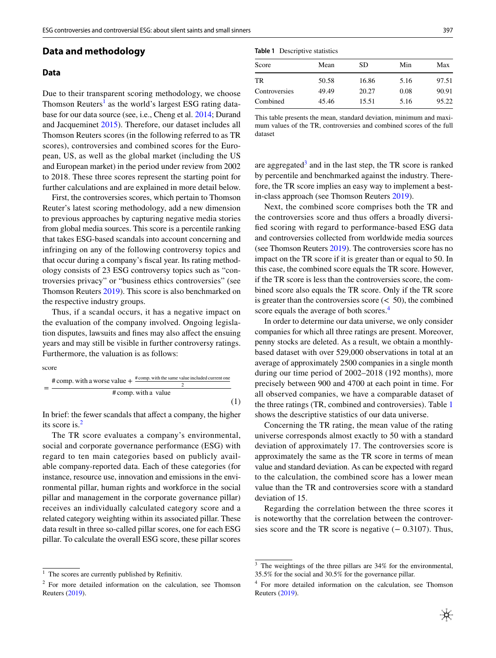## <span id="page-4-0"></span>**Data and methodology**

## **Data**

Due to their transparent scoring methodology, we choose Thomson Reuters<sup>[1](#page-4-1)</sup> as the world's largest ESG rating database for our data source (see, i.e., Cheng et al. [2014](#page-18-38); Durand and Jacqueminet [2015\)](#page-18-39). Therefore, our dataset includes all Thomson Reuters scores (in the following referred to as TR scores), controversies and combined scores for the European, US, as well as the global market (including the US and European market) in the period under review from 2002 to 2018. These three scores represent the starting point for further calculations and are explained in more detail below.

First, the controversies scores, which pertain to Thomson Reuter's latest scoring methodology, add a new dimension to previous approaches by capturing negative media stories from global media sources. This score is a percentile ranking that takes ESG-based scandals into account concerning and infringing on any of the following controversy topics and that occur during a company's fscal year. Its rating methodology consists of 23 ESG controversy topics such as "controversies privacy" or "business ethics controversies" (see Thomson Reuters [2019](#page-19-12)). This score is also benchmarked on the respective industry groups.

Thus, if a scandal occurs, it has a negative impact on the evaluation of the company involved. Ongoing legislation disputes, lawsuits and fnes may also afect the ensuing years and may still be visible in further controversy ratings. Furthermore, the valuation is as follows:

score

$$
= \frac{\text{\# comp. with a worse value + } \frac{\text{\# comp. with the same value included current one}}{2}}{\text{\# comp. with a value}}
$$
\n(1)

In brief: the fewer scandals that affect a company, the higher its score is.<sup>[2](#page-4-2)</sup>

The TR score evaluates a company's environmental, social and corporate governance performance (ESG) with regard to ten main categories based on publicly available company-reported data. Each of these categories (for instance, resource use, innovation and emissions in the environmental pillar, human rights and workforce in the social pillar and management in the corporate governance pillar) receives an individually calculated category score and a related category weighting within its associated pillar. These data result in three so-called pillar scores, one for each ESG pillar. To calculate the overall ESG score, these pillar scores

<span id="page-4-5"></span>

| Score         | Mean  | SD    | Min  | Max   |
|---------------|-------|-------|------|-------|
| TR            | 50.58 | 16.86 | 5.16 | 97.51 |
| Controversies | 49.49 | 20.27 | 0.08 | 90.91 |
| Combined      | 45.46 | 15.51 | 5.16 | 95.22 |

This table presents the mean, standard deviation, minimum and maximum values of the TR, controversies and combined scores of the full dataset

are aggregated<sup>[3](#page-4-3)</sup> and in the last step, the TR score is ranked by percentile and benchmarked against the industry. Therefore, the TR score implies an easy way to implement a bestin-class approach (see Thomson Reuters [2019](#page-19-12)).

Next, the combined score comprises both the TR and the controversies score and thus offers a broadly diversifed scoring with regard to performance-based ESG data and controversies collected from worldwide media sources (see Thomson Reuters [2019\)](#page-19-12). The controversies score has no impact on the TR score if it is greater than or equal to 50. In this case, the combined score equals the TR score. However, if the TR score is less than the controversies score, the combined score also equals the TR score. Only if the TR score is greater than the controversies score (*<* 50), the combined score equals the average of both scores.<sup>[4](#page-4-4)</sup>

In order to determine our data universe, we only consider companies for which all three ratings are present. Moreover, penny stocks are deleted. As a result, we obtain a monthlybased dataset with over 529,000 observations in total at an average of approximately 2500 companies in a single month during our time period of 2002–2018 (192 months), more precisely between 900 and 4700 at each point in time. For all observed companies, we have a comparable dataset of the three ratings (TR, combined and controversies). Table [1](#page-4-5) shows the descriptive statistics of our data universe.

Concerning the TR rating, the mean value of the rating universe corresponds almost exactly to 50 with a standard deviation of approximately 17. The controversies score is approximately the same as the TR score in terms of mean value and standard deviation. As can be expected with regard to the calculation, the combined score has a lower mean value than the TR and controversies score with a standard deviation of 15.

Regarding the correlation between the three scores it is noteworthy that the correlation between the controversies score and the TR score is negative  $(-0.3107)$ . Thus,

<span id="page-4-1"></span> $1$  The scores are currently published by Refinitiv.

<span id="page-4-2"></span><sup>&</sup>lt;sup>2</sup> For more detailed information on the calculation, see Thomson Reuters ([2019\)](#page-19-12).

<span id="page-4-3"></span> $3$  The weightings of the three pillars are  $34\%$  for the environmental, 35.5% for the social and 30.5% for the governance pillar.

<span id="page-4-4"></span><sup>4</sup> For more detailed information on the calculation, see Thomson Reuters ([2019\)](#page-19-12).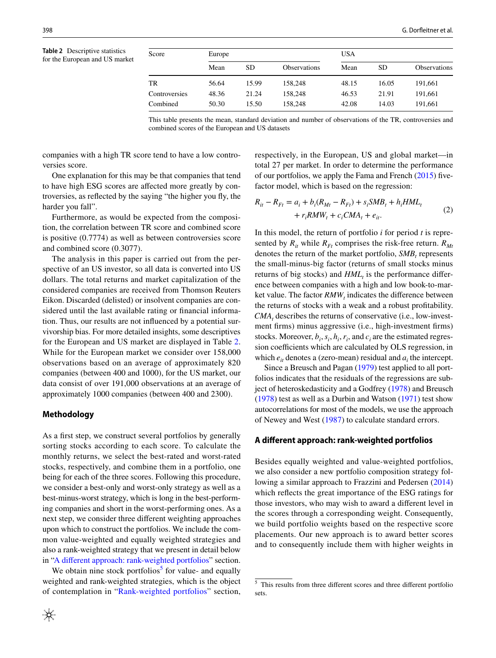<span id="page-5-0"></span>**Table 2** Descriptive statistics for the European and US market

| <b>TISA</b> |  |
|-------------|--|

| Score         | Europe |       |                     | <b>USA</b> |       |                     |
|---------------|--------|-------|---------------------|------------|-------|---------------------|
|               | Mean   | SD    | <b>Observations</b> | Mean       | SD    | <b>Observations</b> |
| TR            | 56.64  | 15.99 | 158,248             | 48.15      | 16.05 | 191,661             |
| Controversies | 48.36  | 21.24 | 158,248             | 46.53      | 21.91 | 191,661             |
| Combined      | 50.30  | 15.50 | 158.248             | 42.08      | 14.03 | 191.661             |

This table presents the mean, standard deviation and number of observations of the TR, controversies and combined scores of the European and US datasets

companies with a high TR score tend to have a low controversies score.

One explanation for this may be that companies that tend to have high ESG scores are afected more greatly by controversies, as refected by the saying "the higher you fy, the harder you fall".

Furthermore, as would be expected from the composition, the correlation between TR score and combined score is positive (0.7774) as well as between controversies score and combined score (0.3077).

The analysis in this paper is carried out from the perspective of an US investor, so all data is converted into US dollars. The total returns and market capitalization of the considered companies are received from Thomson Reuters Eikon. Discarded (delisted) or insolvent companies are considered until the last available rating or fnancial information. Thus, our results are not infuenced by a potential survivorship bias. For more detailed insights, some descriptives for the European and US market are displayed in Table [2.](#page-5-0) While for the European market we consider over 158,000 observations based on an average of approximately 820 companies (between 400 and 1000), for the US market, our data consist of over 191,000 observations at an average of approximately 1000 companies (between 400 and 2300).

#### **Methodology**

As a frst step, we construct several portfolios by generally sorting stocks according to each score. To calculate the monthly returns, we select the best-rated and worst-rated stocks, respectively, and combine them in a portfolio, one being for each of the three scores. Following this procedure, we consider a best-only and worst-only strategy as well as a best-minus-worst strategy, which is long in the best-performing companies and short in the worst-performing ones. As a next step, we consider three diferent weighting approaches upon which to construct the portfolios. We include the common value-weighted and equally weighted strategies and also a rank-weighted strategy that we present in detail below in ["A diferent approach: rank-weighted portfolios](#page-5-1)" section.

We obtain nine stock portfolios<sup>[5](#page-5-2)</sup> for value- and equally weighted and rank-weighted strategies, which is the object of contemplation in "[Rank-weighted portfolios"](#page-12-1) section,

respectively, in the European, US and global market—in total 27 per market. In order to determine the performance of our portfolios, we apply the Fama and French ([2015\)](#page-18-12) fvefactor model, which is based on the regression:

$$
R_{it} - R_{Ft} = a_i + b_i(R_{Mt} - R_{Ft}) + s_iSMB_t + h_iHML_t + r_iRMW_t + c_iCMA_t + e_{it}.
$$
 (2)

In this model, the return of portfolio *i* for period *t* is represented by  $R_{it}$  while  $R_{Ft}$  comprises the risk-free return.  $R_{Mt}$ denotes the return of the market portfolio,  $SMB_t$  represents the small-minus-big factor (returns of small stocks minus returns of big stocks) and  $HML_t$  is the performance difference between companies with a high and low book-to-market value. The factor  $RMW_t$  indicates the difference between the returns of stocks with a weak and a robust proftability.  $CMA_t$  describes the returns of conservative (i.e., low-investment frms) minus aggressive (i.e., high-investment frms) stocks. Moreover,  $b_i$ ,  $s_i$ ,  $h_i$ ,  $r_i$ , and  $c_i$  are the estimated regression coefficients which are calculated by OLS regression, in which  $e_{it}$  denotes a (zero-mean) residual and  $a_i$  the intercept.

Since a Breusch and Pagan ([1979](#page-18-40)) test applied to all portfolios indicates that the residuals of the regressions are subject of heteroskedasticity and a Godfrey [\(1978](#page-18-41)) and Breusch [\(1978\)](#page-18-42) test as well as a Durbin and Watson ([1971\)](#page-18-43) test show autocorrelations for most of the models, we use the approach of Newey and West [\(1987](#page-18-44)) to calculate standard errors.

#### <span id="page-5-1"></span>**A diferent approach: rank‑weighted portfolios**

Besides equally weighted and value-weighted portfolios, we also consider a new portfolio composition strategy following a similar approach to Frazzini and Pedersen ([2014\)](#page-18-45) which refects the great importance of the ESG ratings for those investors, who may wish to award a diferent level in the scores through a corresponding weight. Consequently, we build portfolio weights based on the respective score placements. Our new approach is to award better scores and to consequently include them with higher weights in

<span id="page-5-2"></span><sup>5</sup> This results from three diferent scores and three diferent portfolio sets.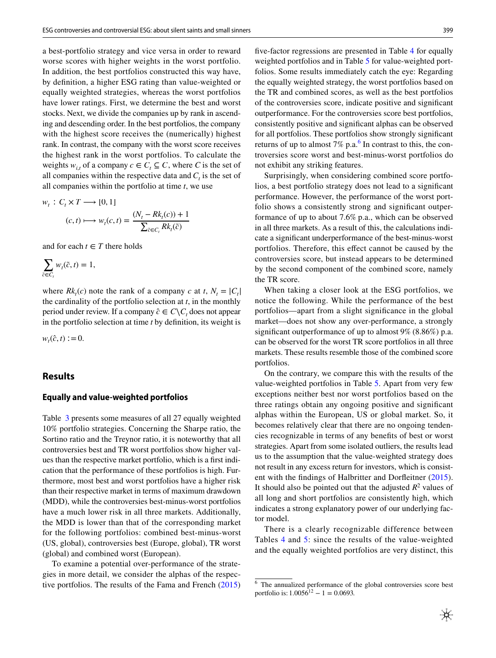a best-portfolio strategy and vice versa in order to reward worse scores with higher weights in the worst portfolio. In addition, the best portfolios constructed this way have, by defnition, a higher ESG rating than value-weighted or equally weighted strategies, whereas the worst portfolios have lower ratings. First, we determine the best and worst stocks. Next, we divide the companies up by rank in ascending and descending order. In the best portfolios, the company with the highest score receives the (numerically) highest rank. In contrast, the company with the worst score receives the highest rank in the worst portfolios. To calculate the weights  $w_{i,t}$  of a company  $c \in C_t \subseteq C$ , where *C* is the set of all companies within the respective data and  $C_t$  is the set of all companies within the portfolio at time *t*, we use

$$
w_t: C_t \times T \longrightarrow [0, 1]
$$
  

$$
(c, t) \longmapsto w_t(c, t) = \frac{(N_t - Rk_t(c)) + 1}{\sum_{\tilde{c} \in C_t} Rk_t(\tilde{c})}
$$

and for each  $t \in T$  there holds

$$
\sum_{\tilde{c}\in C_t} w_t(\tilde{c}, t) = 1,
$$

where  $Rk_t(c)$  note the rank of a company *c* at *t*,  $N_t = |C_t|$ the cardinality of the portfolio selection at *t*, in the monthly period under review. If a company  $\hat{c} \in C \setminus C_t$  does not appear in the portfolio selection at time *t* by defnition, its weight is

 $w_t(\hat{c}, t) := 0.$ 

## <span id="page-6-0"></span>**Results**

#### **Equally and value‑weighted portfolios**

Table [3](#page-7-0) presents some measures of all 27 equally weighted 10% portfolio strategies. Concerning the Sharpe ratio, the Sortino ratio and the Treynor ratio, it is noteworthy that all controversies best and TR worst portfolios show higher values than the respective market portfolio, which is a frst indication that the performance of these portfolios is high. Furthermore, most best and worst portfolios have a higher risk than their respective market in terms of maximum drawdown (MDD), while the controversies best-minus-worst portfolios have a much lower risk in all three markets. Additionally, the MDD is lower than that of the corresponding market for the following portfolios: combined best-minus-worst (US, global), controversies best (Europe, global), TR worst (global) and combined worst (European).

To examine a potential over-performance of the strategies in more detail, we consider the alphas of the respective portfolios. The results of the Fama and French ([2015\)](#page-18-12) fve-factor regressions are presented in Table [4](#page-8-0) for equally weighted portfolios and in Table [5](#page-9-0) for value-weighted portfolios. Some results immediately catch the eye: Regarding the equally weighted strategy, the worst portfolios based on the TR and combined scores, as well as the best portfolios of the controversies score, indicate positive and signifcant outperformance. For the controversies score best portfolios, consistently positive and signifcant alphas can be observed for all portfolios. These portfolios show strongly signifcant returns of up to almost  $7\%$  p.a.<sup>[6](#page-6-1)</sup> In contrast to this, the controversies score worst and best-minus-worst portfolios do not exhibit any striking features.

Surprisingly, when considering combined score portfolios, a best portfolio strategy does not lead to a signifcant performance. However, the performance of the worst portfolio shows a consistently strong and signifcant outperformance of up to about 7.6% p.a., which can be observed in all three markets. As a result of this, the calculations indicate a signifcant underperformance of the best-minus-worst portfolios. Therefore, this efect cannot be caused by the controversies score, but instead appears to be determined by the second component of the combined score, namely the TR score.

When taking a closer look at the ESG portfolios, we notice the following. While the performance of the best portfolios—apart from a slight signifcance in the global market—does not show any over-performance, a strongly signifcant outperformance of up to almost 9% (8.86%) p.a. can be observed for the worst TR score portfolios in all three markets. These results resemble those of the combined score portfolios.

On the contrary, we compare this with the results of the value-weighted portfolios in Table [5.](#page-9-0) Apart from very few exceptions neither best nor worst portfolios based on the three ratings obtain any ongoing positive and signifcant alphas within the European, US or global market. So, it becomes relatively clear that there are no ongoing tendencies recognizable in terms of any benefts of best or worst strategies. Apart from some isolated outliers, the results lead us to the assumption that the value-weighted strategy does not result in any excess return for investors, which is consistent with the fndings of Halbritter and Dorfeitner ([2015](#page-18-13)). It should also be pointed out that the adjusted  $R^2$  values of all long and short portfolios are consistently high, which indicates a strong explanatory power of our underlying factor model.

There is a clearly recognizable difference between Tables [4](#page-8-0) and [5](#page-9-0): since the results of the value-weighted and the equally weighted portfolios are very distinct, this

<span id="page-6-1"></span><sup>6</sup> The annualized performance of the global controversies score best portfolio is:  $1.0056^{12} - 1 = 0.0693$ .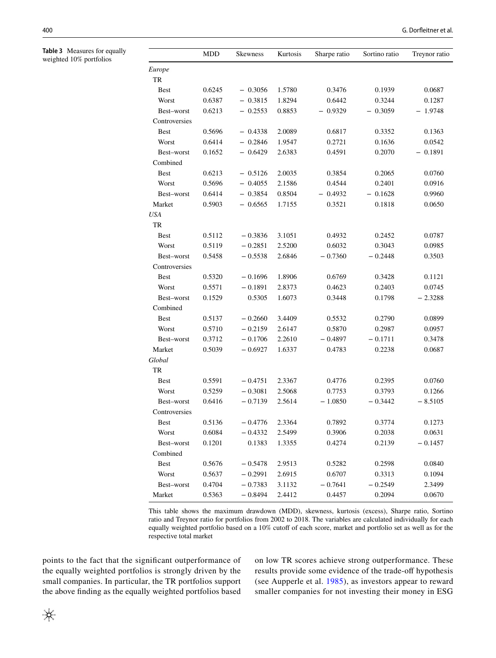<span id="page-7-0"></span>**Table 3** Measures for equally weighted 10% portfolios

|               | <b>MDD</b> | <b>Skewness</b> | Kurtosis | Sharpe ratio | Sortino ratio | Treynor ratio |
|---------------|------------|-----------------|----------|--------------|---------------|---------------|
| Europe        |            |                 |          |              |               |               |
| TR            |            |                 |          |              |               |               |
| <b>Best</b>   | 0.6245     | $-0.3056$       | 1.5780   | 0.3476       | 0.1939        | 0.0687        |
| Worst         | 0.6387     | $-0.3815$       | 1.8294   | 0.6442       | 0.3244        | 0.1287        |
| Best-worst    | 0.6213     | $-0.2553$       | 0.8853   | $-0.9329$    | $-0.3059$     | $-1.9748$     |
| Controversies |            |                 |          |              |               |               |
| <b>Best</b>   | 0.5696     | $-0.4338$       | 2.0089   | 0.6817       | 0.3352        | 0.1363        |
| Worst         | 0.6414     | $-0.2846$       | 1.9547   | 0.2721       | 0.1636        | 0.0542        |
| Best-worst    | 0.1652     | $-0.6429$       | 2.6383   | 0.4591       | 0.2070        | $-0.1891$     |
| Combined      |            |                 |          |              |               |               |
| <b>Best</b>   | 0.6213     | $-0.5126$       | 2.0035   | 0.3854       | 0.2065        | 0.0760        |
| Worst         | 0.5696     | $-0.4055$       | 2.1586   | 0.4544       | 0.2401        | 0.0916        |
| Best-worst    | 0.6414     | $-0.3854$       | 0.8504   | $-0.4932$    | $-0.1628$     | 0.9960        |
| Market        | 0.5903     | $-0.6565$       | 1.7155   | 0.3521       | 0.1818        | 0.0650        |
| USA           |            |                 |          |              |               |               |
| TR            |            |                 |          |              |               |               |
| <b>Best</b>   | 0.5112     | $-0.3836$       | 3.1051   | 0.4932       | 0.2452        | 0.0787        |
| Worst         | 0.5119     | $-0.2851$       | 2.5200   | 0.6032       | 0.3043        | 0.0985        |
| Best-worst    | 0.5458     | $-0.5538$       | 2.6846   | $-0.7360$    | $-0.2448$     | 0.3503        |
| Controversies |            |                 |          |              |               |               |
| <b>Best</b>   | 0.5320     | $-0.1696$       | 1.8906   | 0.6769       | 0.3428        | 0.1121        |
| Worst         | 0.5571     | $-0.1891$       | 2.8373   | 0.4623       | 0.2403        | 0.0745        |
| Best-worst    | 0.1529     | 0.5305          | 1.6073   | 0.3448       | 0.1798        | $-2.3288$     |
| Combined      |            |                 |          |              |               |               |
| <b>Best</b>   | 0.5137     | $-0.2660$       | 3.4409   | 0.5532       | 0.2790        | 0.0899        |
| Worst         | 0.5710     | $-0.2159$       | 2.6147   | 0.5870       | 0.2987        | 0.0957        |
| Best-worst    | 0.3712     | $-0.1706$       | 2.2610   | $-0.4897$    | $-0.1711$     | 0.3478        |
| Market        | 0.5039     | $-0.6927$       | 1.6337   | 0.4783       | 0.2238        | 0.0687        |
| Global        |            |                 |          |              |               |               |
| TR            |            |                 |          |              |               |               |
| <b>Best</b>   | 0.5591     | $-0.4751$       | 2.3367   | 0.4776       | 0.2395        | 0.0760        |
| Worst         | 0.5259     | $-0.3081$       | 2.5068   | 0.7753       | 0.3793        | 0.1266        |
| Best-worst    | 0.6416     | $-0.7139$       | 2.5614   | $-1.0850$    | $-0.3442$     | $-8.5105$     |
| Controversies |            |                 |          |              |               |               |
| <b>Best</b>   | 0.5136     | $-0.4776$       | 2.3364   | 0.7892       | 0.3774        | 0.1273        |
| Worst         | 0.6084     | $-0.4332$       | 2.5499   | 0.3906       | 0.2038        | 0.0631        |
| Best-worst    | 0.1201     | 0.1383          | 1.3355   | 0.4274       | 0.2139        | $-0.1457$     |
| Combined      |            |                 |          |              |               |               |
| <b>Best</b>   | 0.5676     | $-0.5478$       | 2.9513   | 0.5282       | 0.2598        | 0.0840        |
| Worst         | 0.5637     | $-0.2991$       | 2.6915   | 0.6707       | 0.3313        | 0.1094        |
| Best-worst    | 0.4704     | $-0.7383$       | 3.1132   | $-0.7641$    | $-0.2549$     | 2.3499        |
| Market        | 0.5363     | $-0.8494$       | 2.4412   | 0.4457       | 0.2094        | 0.0670        |

This table shows the maximum drawdown (MDD), skewness, kurtosis (excess), Sharpe ratio, Sortino ratio and Treynor ratio for portfolios from 2002 to 2018. The variables are calculated individually for each equally weighted portfolio based on a 10% cutof of each score, market and portfolio set as well as for the respective total market

points to the fact that the signifcant outperformance of the equally weighted portfolios is strongly driven by the small companies. In particular, the TR portfolios support the above fnding as the equally weighted portfolios based on low TR scores achieve strong outperformance. These results provide some evidence of the trade-off hypothesis (see Aupperle et al. [1985\)](#page-18-32), as investors appear to reward smaller companies for not investing their money in ESG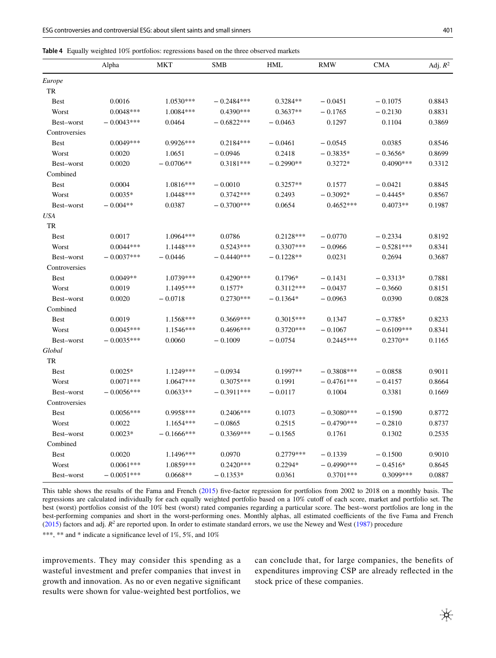<span id="page-8-0"></span>

|  |  |  |  |  | <b>Table 4</b> Equally weighted 10% portfolios: regressions based on the three observed markets |  |  |  |  |  |
|--|--|--|--|--|-------------------------------------------------------------------------------------------------|--|--|--|--|--|
|--|--|--|--|--|-------------------------------------------------------------------------------------------------|--|--|--|--|--|

|               | Alpha        | MKT           | <b>SMB</b>   | <b>HML</b>  | <b>RMW</b>   | <b>CMA</b>   | Adj. $R^2$ |
|---------------|--------------|---------------|--------------|-------------|--------------|--------------|------------|
| Europe        |              |               |              |             |              |              |            |
| TR            |              |               |              |             |              |              |            |
| <b>Best</b>   | 0.0016       | $1.0530***$   | $-0.2484***$ | $0.3284**$  | $-0.0451$    | $-0.1075$    | 0.8843     |
| Worst         | $0.0048***$  | 1.0084***     | $0.4390***$  | $0.3637**$  | $-0.1765$    | $-0.2130$    | 0.8831     |
| Best-worst    | $-0.0043***$ | 0.0464        | $-0.6822***$ | $-0.0463$   | 0.1297       | 0.1104       | 0.3869     |
| Controversies |              |               |              |             |              |              |            |
| <b>Best</b>   | $0.0049***$  | $0.9926***$   | $0.2184***$  | $-0.0461$   | $-0.0545$    | 0.0385       | 0.8546     |
| Worst         | 0.0020       | 1.0651        | $-0.0946$    | 0.2418      | $-0.3835*$   | $-0.3656*$   | 0.8699     |
| Best-worst    | 0.0020       | $-0.0706**$   | $0.3181***$  | $-0.2990**$ | $0.3272*$    | $0.4090***$  | 0.3312     |
| Combined      |              |               |              |             |              |              |            |
| <b>Best</b>   | 0.0004       | 1.0816***     | $-0.0010$    | $0.3257**$  | 0.1577       | $-0.0421$    | 0.8845     |
| Worst         | $0.0035*$    | 1.0448***     | $0.3742***$  | 0.2493      | $-0.3092*$   | $-0.4445*$   | 0.8567     |
| Best-worst    | $-0.004**$   | 0.0387        | $-0.3700***$ | 0.0654      | $0.4652***$  | $0.4073**$   | 0.1987     |
| USA           |              |               |              |             |              |              |            |
| TR            |              |               |              |             |              |              |            |
| <b>Best</b>   | 0.0017       | 1.0964***     | 0.0786       | $0.2128***$ | $-0.0770$    | $-0.2334$    | 0.8192     |
| Worst         | $0.0044***$  | 1.1448***     | $0.5243***$  | $0.3307***$ | $-0.0966$    | $-0.5281***$ | 0.8341     |
| Best-worst    | $-0.0037***$ | $-0.0446$     | $-0.4440***$ | $-0.1228**$ | 0.0231       | 0.2694       | 0.3687     |
| Controversies |              |               |              |             |              |              |            |
| <b>Best</b>   | $0.0049**$   | 1.0739***     | $0.4290***$  | $0.1796*$   | $-0.1431$    | $-0.3313*$   | 0.7881     |
| Worst         | 0.0019       | 1.1495***     | $0.1577*$    | $0.3112***$ | $-0.0437$    | $-0.3660$    | 0.8151     |
| Best-worst    | 0.0020       | $-0.0718$     | $0.2730***$  | $-0.1364*$  | $-0.0963$    | 0.0390       | 0.0828     |
| Combined      |              |               |              |             |              |              |            |
| <b>Best</b>   | 0.0019       | 1.1568***     | $0.3669***$  | $0.3015***$ | 0.1347       | $-0.3785*$   | 0.8233     |
| Worst         | $0.0045***$  | 1.1546***     | 0.4696***    | $0.3720***$ | $-0.1067$    | $-0.6109***$ | 0.8341     |
| Best-worst    | $-0.0035***$ | 0.0060        | $-0.1009$    | $-0.0754$   | $0.2445***$  | $0.2370**$   | 0.1165     |
| Global        |              |               |              |             |              |              |            |
| TR            |              |               |              |             |              |              |            |
| <b>Best</b>   | $0.0025*$    | 1.1249***     | $-0.0934$    | $0.1997**$  | $-0.3808***$ | $-0.0858$    | 0.9011     |
| Worst         | $0.0071***$  | 1.0647***     | $0.3075***$  | 0.1991      | $-0.4761***$ | $-0.4157$    | 0.8664     |
| Best-worst    | $-0.0056***$ | $0.0633**$    | $-0.3911***$ | $-0.0117$   | 0.1004       | 0.3381       | 0.1669     |
| Controversies |              |               |              |             |              |              |            |
| <b>Best</b>   | $0.0056***$  | $0.9958***$   | $0.2406***$  | 0.1073      | $-0.3080***$ | $-0.1590$    | 0.8772     |
| Worst         | 0.0022       | $1.1654***$   | $-0.0865$    | 0.2515      | $-0.4790***$ | $-0.2810$    | 0.8737     |
| Best-worst    | $0.0023*$    | $-0.1666$ *** | $0.3369***$  | $-0.1565$   | 0.1761       | 0.1302       | 0.2535     |
| Combined      |              |               |              |             |              |              |            |
| <b>Best</b>   | 0.0020       | 1.1496***     | 0.0970       | $0.2779***$ | $-0.1339$    | $-0.1500$    | 0.9010     |
| Worst         | $0.0061***$  | 1.0859***     | $0.2420***$  | $0.2294*$   | $-0.4990***$ | $-0.4516*$   | 0.8645     |
| Best-worst    | $-0.0051***$ | $0.0668**$    | $-0.1353*$   | 0.0361      | $0.3701***$  | $0.3099***$  | 0.0887     |

This table shows the results of the Fama and French ([2015\)](#page-18-12) fve-factor regression for portfolios from 2002 to 2018 on a monthly basis. The regressions are calculated individually for each equally weighted portfolio based on a 10% cutof of each score, market and portfolio set. The best (worst) portfolios consist of the 10% best (worst) rated companies regarding a particular score. The best–worst portfolios are long in the best-performing companies and short in the worst-performing ones. Monthly alphas, all estimated coefficients of the five Fama and French ([2015\)](#page-18-12) factors and adj.  $R^2$  are reported upon. In order to estimate standard errors, we use the Newey and West ([1987\)](#page-18-44) procedure

\*\*\*, \*\* and \* indicate a significance level of 1%, 5%, and 10%

improvements. They may consider this spending as a wasteful investment and prefer companies that invest in growth and innovation. As no or even negative signifcant results were shown for value-weighted best portfolios, we can conclude that, for large companies, the benefts of expenditures improving CSP are already refected in the stock price of these companies.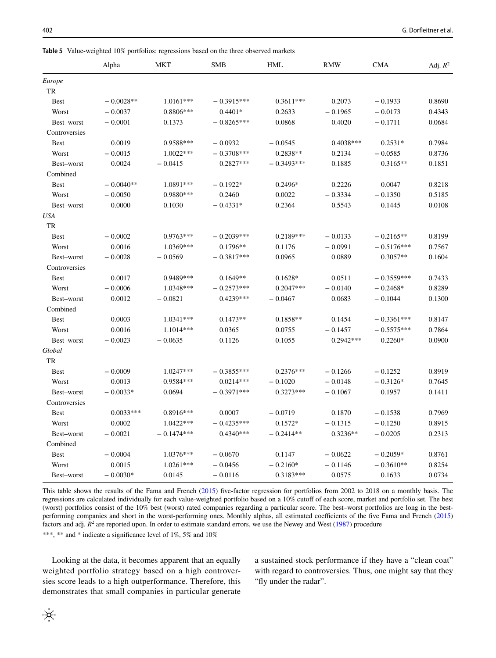<span id="page-9-0"></span>**Table 5** Value-weighted 10% portfolios: regressions based on the three observed markets

|               | Alpha       | MKT          | <b>SMB</b>   | HML          | <b>RMW</b>  | <b>CMA</b>   | Adj. $R^2$ |
|---------------|-------------|--------------|--------------|--------------|-------------|--------------|------------|
| Europe        |             |              |              |              |             |              |            |
| TR            |             |              |              |              |             |              |            |
| <b>Best</b>   | $-0.0028**$ | $1.0161***$  | $-0.3915***$ | $0.3611***$  | 0.2073      | $-0.1933$    | 0.8690     |
| Worst         | $-0.0037$   | $0.8806***$  | $0.4401*$    | 0.2633       | $-0.1965$   | $-0.0173$    | 0.4343     |
| Best-worst    | $-0.0001$   | 0.1373       | $-0.8265***$ | 0.0868       | 0.4020      | $-0.1711$    | 0.0684     |
| Controversies |             |              |              |              |             |              |            |
| <b>Best</b>   | 0.0019      | 0.9588***    | $-0.0932$    | $-0.0545$    | $0.4038***$ | $0.2531*$    | 0.7984     |
| Worst         | $-0.0015$   | $1.0022***$  | $-0.3708***$ | $0.2838**$   | 0.2134      | $-0.0585$    | 0.8736     |
| Best-worst    | 0.0024      | $-0.0415$    | $0.2827***$  | $-0.3493***$ | 0.1885      | $0.3165**$   | 0.1851     |
| Combined      |             |              |              |              |             |              |            |
| <b>Best</b>   | $-0.0040**$ | 1.0891***    | $-0.1922*$   | $0.2496*$    | 0.2226      | 0.0047       | 0.8218     |
| Worst         | $-0.0050$   | 0.9880***    | 0.2460       | 0.0022       | $-0.3334$   | $-0.1350$    | 0.5185     |
| Best-worst    | 0.0000      | 0.1030       | $-0.4331*$   | 0.2364       | 0.5543      | 0.1445       | 0.0108     |
| <b>USA</b>    |             |              |              |              |             |              |            |
| TR            |             |              |              |              |             |              |            |
| <b>Best</b>   | $-0.0002$   | $0.9763***$  | $-0.2039***$ | $0.2189***$  | $-0.0133$   | $-0.2165**$  | 0.8199     |
| Worst         | 0.0016      | 1.0369***    | $0.1796**$   | 0.1176       | $-0.0991$   | $-0.5176***$ | 0.7567     |
| Best-worst    | $-0.0028$   | $-0.0569$    | $-0.3817***$ | 0.0965       | 0.0889      | $0.3057**$   | 0.1604     |
| Controversies |             |              |              |              |             |              |            |
| Best          | 0.0017      | $0.9489***$  | $0.1649**$   | $0.1628*$    | 0.0511      | $-0.3559***$ | 0.7433     |
| Worst         | $-0.0006$   | 1.0348***    | $-0.2573***$ | $0.2047***$  | $-0.0140$   | $-0.2468*$   | 0.8289     |
| Best-worst    | 0.0012      | $-0.0821$    | $0.4239***$  | $-0.0467$    | 0.0683      | $-0.1044$    | 0.1300     |
| Combined      |             |              |              |              |             |              |            |
| <b>Best</b>   | 0.0003      | $1.0341***$  | $0.1473**$   | $0.1858**$   | 0.1454      | $-0.3361***$ | 0.8147     |
| Worst         | 0.0016      | 1.1014***    | 0.0365       | 0.0755       | $-0.1457$   | $-0.5575***$ | 0.7864     |
| Best-worst    | $-0.0023$   | $-0.0635$    | 0.1126       | 0.1055       | $0.2942***$ | $0.2260*$    | 0.0900     |
| Global        |             |              |              |              |             |              |            |
| TR            |             |              |              |              |             |              |            |
| <b>Best</b>   | $-0.0009$   | 1.0247***    | $-0.3855***$ | 0.2376***    | $-0.1266$   | $-0.1252$    | 0.8919     |
| Worst         | 0.0013      | 0.9584***    | $0.0214***$  | $-0.1020$    | $-0.0148$   | $-0.3126*$   | 0.7645     |
| Best-worst    | $-0.0033*$  | 0.0694       | $-0.3971***$ | $0.3273***$  | $-0.1067$   | 0.1957       | 0.1411     |
| Controversies |             |              |              |              |             |              |            |
| <b>Best</b>   | $0.0033***$ | $0.8916***$  | 0.0007       | $-0.0719$    | 0.1870      | $-0.1538$    | 0.7969     |
| Worst         | 0.0002      | 1.0422***    | $-0.4235***$ | $0.1572*$    | $-0.1315$   | $-0.1250$    | 0.8915     |
| Best-worst    | $-0.0021$   | $-0.1474***$ | $0.4340***$  | $-0.2414**$  | $0.3236**$  | $-0.0205$    | 0.2313     |
| Combined      |             |              |              |              |             |              |            |
| <b>Best</b>   | $-0.0004$   | $1.0376***$  | $-0.0670$    | 0.1147       | $-0.0622$   | $-0.2059*$   | 0.8761     |
| Worst         | 0.0015      | $1.0261***$  | $-0.0456$    | $-0.2160*$   | $-0.1146$   | $-0.3610**$  | 0.8254     |
| Best-worst    | $-0.0030*$  | 0.0145       | $-0.0116$    | $0.3183***$  | 0.0575      | 0.1633       | 0.0734     |

This table shows the results of the Fama and French ([2015\)](#page-18-12) fve-factor regression for portfolios from 2002 to 2018 on a monthly basis. The regressions are calculated individually for each value-weighted portfolio based on a 10% cutoff of each score, market and portfolio set. The best (worst) portfolios consist of the 10% best (worst) rated companies regarding a particular score. The best–worst portfolios are long in the best-performing companies and short in the worst-performing ones. Monthly alphas, all estimated coefficients of the five Fama and French [\(2015](#page-18-12)) factors and adj.  $R^2$  are reported upon. In order to estimate standard errors, we use the Newey and West ([1987\)](#page-18-44) procedure

\*\*\*, \*\* and \* indicate a significance level of 1%, 5% and 10%

Looking at the data, it becomes apparent that an equally weighted portfolio strategy based on a high controversies score leads to a high outperformance. Therefore, this demonstrates that small companies in particular generate a sustained stock performance if they have a "clean coat" with regard to controversies. Thus, one might say that they "fy under the radar".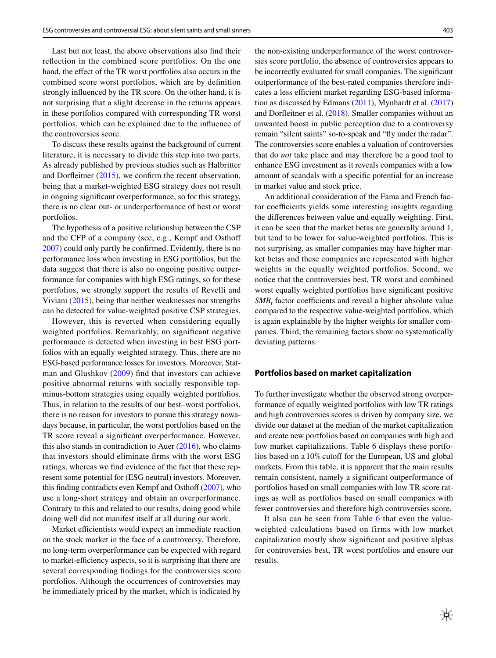Last but not least, the above observations also fnd their refection in the combined score portfolios. On the one hand, the effect of the TR worst portfolios also occurs in the combined score worst portfolios, which are by defnition strongly infuenced by the TR score. On the other hand, it is not surprising that a slight decrease in the returns appears in these portfolios compared with corresponding TR worst portfolios, which can be explained due to the infuence of the controversies score.

To discuss these results against the background of current literature, it is necessary to divide this step into two parts. As already published by previous studies such as Halbritter and Dorfeitner ([2015](#page-18-13)), we confrm the recent observation, being that a market-weighted ESG strategy does not result in ongoing signifcant overperformance, so for this strategy, there is no clear out- or underperformance of best or worst portfolios.

The hypothesis of a positive relationship between the CSP and the CFP of a company (see, e.g., Kempf and Osthof [2007](#page-18-9)) could only partly be confrmed. Evidently, there is no performance loss when investing in ESG portfolios, but the data suggest that there is also no ongoing positive outperformance for companies with high ESG ratings, so for these portfolios, we strongly support the results of Revelli and Viviani ([2015\)](#page-19-0), being that neither weaknesses nor strengths can be detected for value-weighted positive CSP strategies.

However, this is reverted when considering equally weighted portfolios. Remarkably, no signifcant negative performance is detected when investing in best ESG portfolios with an equally weighted strategy. Thus, there are no ESG-based performance losses for investors. Moreover, Statman and Glushkov ([2009\)](#page-19-9) fnd that investors can achieve positive abnormal returns with socially responsible topminus-bottom strategies using equally weighted portfolios. Thus, in relation to the results of our best–worst portfolios, there is no reason for investors to pursue this strategy nowadays because, in particular, the worst portfolios based on the TR score reveal a signifcant overperformance. However, this also stands in contradiction to Auer  $(2016)$  $(2016)$ , who claims that investors should eliminate frms with the worst ESG ratings, whereas we fnd evidence of the fact that these represent some potential for (ESG neutral) investors. Moreover, this finding contradicts even Kempf and Osthoff  $(2007)$  $(2007)$ , who use a long-short strategy and obtain an overperformance. Contrary to this and related to our results, doing good while doing well did not manifest itself at all during our work.

Market efficientists would expect an immediate reaction on the stock market in the face of a controversy. Therefore, no long-term overperformance can be expected with regard to market-efficiency aspects, so it is surprising that there are several corresponding fndings for the controversies score portfolios. Although the occurrences of controversies may be immediately priced by the market, which is indicated by the non-existing underperformance of the worst controversies score portfolio, the absence of controversies appears to be incorrectly evaluated for small companies. The signifcant outperformance of the best-rated companies therefore indicates a less efficient market regarding ESG-based information as discussed by Edmans ([2011\)](#page-18-26), Mynhardt et al. ([2017](#page-18-37)) and Dorfeitner et al. [\(2018\)](#page-18-27). Smaller companies without an unwanted boost in public perception due to a controversy remain "silent saints" so-to-speak and "fy under the radar". The controversies score enables a valuation of controversies that do *not* take place and may therefore be a good tool to enhance ESG investment as it reveals companies with a low amount of scandals with a specifc potential for an increase in market value and stock price.

An additional consideration of the Fama and French factor coefficients yields some interesting insights regarding the diferences between value and equally weighting. First, it can be seen that the market betas are generally around 1, but tend to be lower for value-weighted portfolios. This is not surprising, as smaller companies may have higher market betas and these companies are represented with higher weights in the equally weighted portfolios. Second, we notice that the controversies best, TR worst and combined worst equally weighted portfolios have signifcant positive  $SMB_t$  factor coefficients and reveal a higher absolute value compared to the respective value-weighted portfolios, which is again explainable by the higher weights for smaller companies. Third, the remaining factors show no systematically deviating patterns.

#### **Portfolios based on market capitalization**

To further investigate whether the observed strong overperformance of equally weighted portfolios with low TR ratings and high controversies scores is driven by company size, we divide our dataset at the median of the market capitalization and create new portfolios based on companies with high and low market capitalizations. Table [6](#page-11-0) displays these portfolios based on a 10% cutoff for the European, US and global markets. From this table, it is apparent that the main results remain consistent, namely a signifcant outperformance of portfolios based on small companies with low TR score ratings as well as portfolios based on small companies with fewer controversies and therefore high controversies score.

It also can be seen from Table [6](#page-11-0) that even the valueweighted calculations based on firms with low market capitalization mostly show signifcant and positive alphas for controversies best, TR worst portfolios and ensure our results.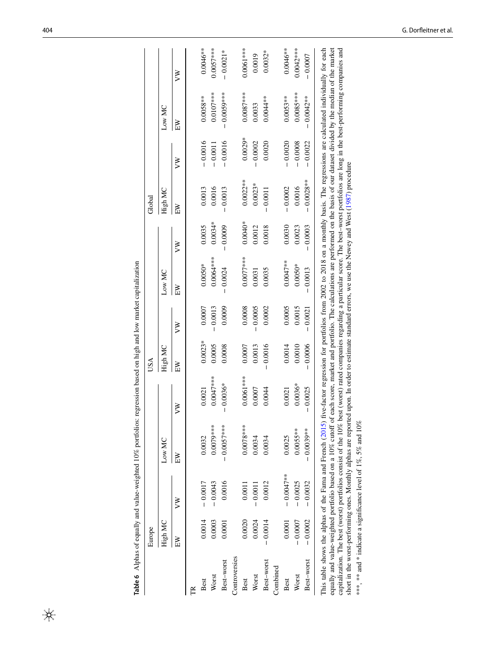|               |           |             | Table 6 Alphas of equally and value-weighted 10% portfolios: regression based on high and low market capitalization                                                                                                                                                                                                                                                                                                                                                                     |                          |                          |                      |             |           |             |             |                                                                                                                                                                                                                                                                        |             |
|---------------|-----------|-------------|-----------------------------------------------------------------------------------------------------------------------------------------------------------------------------------------------------------------------------------------------------------------------------------------------------------------------------------------------------------------------------------------------------------------------------------------------------------------------------------------|--------------------------|--------------------------|----------------------|-------------|-----------|-------------|-------------|------------------------------------------------------------------------------------------------------------------------------------------------------------------------------------------------------------------------------------------------------------------------|-------------|
|               | Europe    |             |                                                                                                                                                                                                                                                                                                                                                                                                                                                                                         |                          | USA                      |                      |             |           | Global      |             |                                                                                                                                                                                                                                                                        |             |
|               | High MC   |             | Low MC                                                                                                                                                                                                                                                                                                                                                                                                                                                                                  |                          | High MC                  |                      | Low MC      |           | High MC     |             | Low MC                                                                                                                                                                                                                                                                 |             |
|               | EN        | ⅀           | E <sub>N</sub>                                                                                                                                                                                                                                                                                                                                                                                                                                                                          | $\breve{\triangleright}$ | EN                       | $\breve{\mathsf{S}}$ | EW          | ₹         | EN          | $\geqslant$ | EW                                                                                                                                                                                                                                                                     | ⅀           |
|               |           |             |                                                                                                                                                                                                                                                                                                                                                                                                                                                                                         |                          |                          |                      |             |           |             |             |                                                                                                                                                                                                                                                                        |             |
| Best          | 0.0014    | $-0.0017$   | 0.0032                                                                                                                                                                                                                                                                                                                                                                                                                                                                                  | 0.0021                   | $0.0023*$                | 0.0007               | $0.0050*$   | 0.0035    | 0.0013      | $-0.0016$   | $0.0058**$                                                                                                                                                                                                                                                             | $0.0046**$  |
| Worst         | 0.0003    | $-0.0043$   | $0.0079***$                                                                                                                                                                                                                                                                                                                                                                                                                                                                             | $0.0047***$              | 0.0005                   | $-0.0013$            | $0.0064***$ | $0.0034*$ | 0.0016      | $-0.0011$   | $0.0107***$                                                                                                                                                                                                                                                            | $0.0057***$ |
| Best-worst    | 0.0001    | 0.0016      | $-0.0057***$                                                                                                                                                                                                                                                                                                                                                                                                                                                                            | $-0.0036*$               | 0.0008                   | 0.0009               | $-0.0024$   | $-0.0009$ | $-0.0013$   | $-0.0016$   | $-0.0059***$                                                                                                                                                                                                                                                           | $-0.0021*$  |
| Controversies |           |             |                                                                                                                                                                                                                                                                                                                                                                                                                                                                                         |                          |                          |                      |             |           |             |             |                                                                                                                                                                                                                                                                        |             |
| Best          | 0.0020    | 0.0011      | $0.0078***$                                                                                                                                                                                                                                                                                                                                                                                                                                                                             | $0.0061***$              | 0.0007                   | 0.0008               | $0.0077***$ | $0.0040*$ | $0.0022***$ | $0.0029*$   | $0.0087***$                                                                                                                                                                                                                                                            | $0.0061***$ |
| Worst         | 0.0024    | $-0.0011$   | 0.0034                                                                                                                                                                                                                                                                                                                                                                                                                                                                                  | 0.0007                   | 0.0013                   | $-0.0005$            | 0.0031      | 0.0012    | $0.0023*$   | $-0.0002$   | 0.0033                                                                                                                                                                                                                                                                 | 0.0019      |
| Best-worst    | $-0.0014$ | 0.0012      | 0.0034                                                                                                                                                                                                                                                                                                                                                                                                                                                                                  | 0.0044                   | $-0.0016$                | 0.0002               | 0.0035      | 0.0018    | $-0.0011$   | 0.0020      | $0.0044**$                                                                                                                                                                                                                                                             | $0.0032*$   |
| Combined      |           |             |                                                                                                                                                                                                                                                                                                                                                                                                                                                                                         |                          |                          |                      |             |           |             |             |                                                                                                                                                                                                                                                                        |             |
| Best          | 0.0001    | $-0.0047**$ | 0.0025                                                                                                                                                                                                                                                                                                                                                                                                                                                                                  | 0.0021                   | 0.0014                   | 0.0005               | $0.0047***$ | 0.0030    | $-0.0002$   | $-0.0020$   | $0.0053***$                                                                                                                                                                                                                                                            | $0.0046**$  |
| Worst         | $-0.0007$ | $-0.0025$   | $0.0055***$                                                                                                                                                                                                                                                                                                                                                                                                                                                                             | $0.0036*$                | 0.0010                   | 0.0015               | $0.0050*$   | 0.0023    | 0.0016      | $-0.0008$   | $0.0085***$                                                                                                                                                                                                                                                            | $0.0042***$ |
| Best-worst    | $-0.0002$ | $-0.0032$   | $-0.0039***$                                                                                                                                                                                                                                                                                                                                                                                                                                                                            | $-0.0025$                | 0.0006<br>$\overline{1}$ | $-0.0021$            | $-0.0013$   | $-0.0003$ | $-0.0028**$ | $-0.0022$   | $0.0042**$<br>L                                                                                                                                                                                                                                                        | $-0.0007$   |
|               |           |             | equally and value-weighted portfolio based on a 10% cutoff of each score, market and portfolio. The calculations are performed on the basis of our dataset divided by the median of the market<br>short in the worst-performing ones. Monthly alphas are reported upon. In order to estimate standard errors, we use the Newey and West (1987) procedure<br>This table shows the alphas of the Fama and French (2015)<br>capitalization. The best (worst) portfolios consist of the 10% |                          |                          |                      |             |           |             |             | five-factor regression for portfolios from 2002 to 2018 on a monthly basis. The regressions are calculated individually for each<br>best (worst) rated companies regarding a particular score. The best-worst portfolios are long in the best-performing companies and |             |
|               |           |             | ***, ** and * indicate a significance level of 1%, 5% and 10%                                                                                                                                                                                                                                                                                                                                                                                                                           |                          |                          |                      |             |           |             |             |                                                                                                                                                                                                                                                                        |             |

| l                                             |
|-----------------------------------------------|
| ł<br>$\sim$                                   |
|                                               |
|                                               |
|                                               |
| ١<br>$\frac{1}{2}$                            |
|                                               |
|                                               |
| research contractor of the second lines.<br>١ |
| ACHEFT CHANGE<br>$\overline{\phantom{a}}$     |
| $\ddot{\phantom{0}}$<br>ر<br>ڊ                |
| í<br>$\vdots$<br>3                            |
|                                               |
|                                               |
| contact in the case of                        |
| i<br>Alph <sup>.</sup>                        |
| َی                                            |

<span id="page-11-0"></span> $\frac{1}{2}$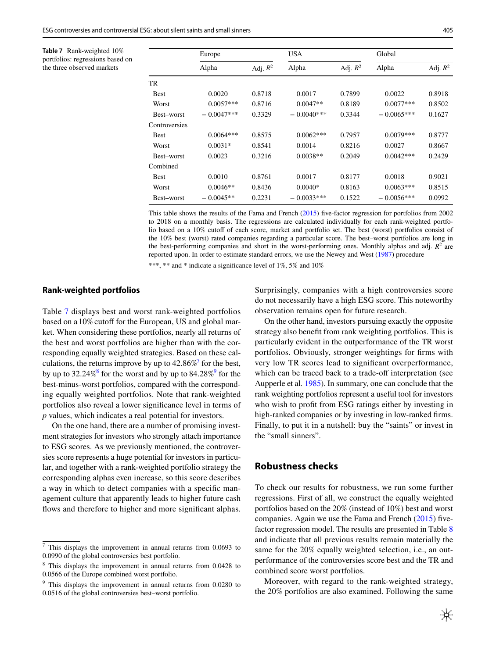<span id="page-12-2"></span>**Table 7** Rank-weighted 10% portfolios: regressions based on

the three observed markets

|               | Europe       |            | <b>USA</b>   |            | Global       |            |
|---------------|--------------|------------|--------------|------------|--------------|------------|
|               | Alpha        | Adj. $R^2$ | Alpha        | Adj. $R^2$ | Alpha        | Adj. $R^2$ |
| TR            |              |            |              |            |              |            |
| <b>Best</b>   | 0.0020       | 0.8718     | 0.0017       | 0.7899     | 0.0022       | 0.8918     |
| Worst         | $0.0057***$  | 0.8716     | $0.0047**$   | 0.8189     | $0.0077***$  | 0.8502     |
| Best-worst    | $-0.0047***$ | 0.3329     | $-0.0040***$ | 0.3344     | $-0.0065***$ | 0.1627     |
| Controversies |              |            |              |            |              |            |
| <b>Best</b>   | $0.0064***$  | 0.8575     | $0.0062***$  | 0.7957     | $0.0079***$  | 0.8777     |
| Worst         | $0.0031*$    | 0.8541     | 0.0014       | 0.8216     | 0.0027       | 0.8667     |
| Best-worst    | 0.0023       | 0.3216     | $0.0038**$   | 0.2049     | $0.0042***$  | 0.2429     |
| Combined      |              |            |              |            |              |            |
| <b>Best</b>   | 0.0010       | 0.8761     | 0.0017       | 0.8177     | 0.0018       | 0.9021     |
| Worst         | $0.0046**$   | 0.8436     | $0.0040*$    | 0.8163     | $0.0063***$  | 0.8515     |
| Best-worst    | $-0.0045**$  | 0.2231     | $-0.0033***$ | 0.1522     | $-0.0056***$ | 0.0992     |

This table shows the results of the Fama and French [\(2015](#page-18-12)) fve-factor regression for portfolios from 2002 to 2018 on a monthly basis. The regressions are calculated individually for each rank-weighted portfolio based on a 10% cutoff of each score, market and portfolio set. The best (worst) portfolios consist of the 10% best (worst) rated companies regarding a particular score. The best–worst portfolios are long in the best-performing companies and short in the worst-performing ones. Monthly alphas and adj.  $R^2$  are reported upon. In order to estimate standard errors, we use the Newey and West ([1987\)](#page-18-44) procedure

\*\*\*, \*\* and \* indicate a significance level of 1%, 5% and 10%

#### <span id="page-12-1"></span>**Rank‑weighted portfolios**

Table [7](#page-12-2) displays best and worst rank-weighted portfolios based on a 10% cutoff for the European, US and global market. When considering these portfolios, nearly all returns of the best and worst portfolios are higher than with the corresponding equally weighted strategies. Based on these calculations, the returns improve by up to  $42.86\%$ <sup>[7](#page-12-3)</sup> for the best, by up to 32.24%<sup>[8](#page-12-4)</sup> for the worst and by up to  $84.28\%$ <sup>[9](#page-12-5)</sup> for the best-minus-worst portfolios, compared with the corresponding equally weighted portfolios. Note that rank-weighted portfolios also reveal a lower signifcance level in terms of *p* values, which indicates a real potential for investors.

On the one hand, there are a number of promising investment strategies for investors who strongly attach importance to ESG scores. As we previously mentioned, the controversies score represents a huge potential for investors in particular, and together with a rank-weighted portfolio strategy the corresponding alphas even increase, so this score describes a way in which to detect companies with a specifc management culture that apparently leads to higher future cash flows and therefore to higher and more significant alphas.

Surprisingly, companies with a high controversies score do not necessarily have a high ESG score. This noteworthy observation remains open for future research.

On the other hand, investors pursuing exactly the opposite strategy also beneft from rank weighting portfolios. This is particularly evident in the outperformance of the TR worst portfolios. Obviously, stronger weightings for frms with very low TR scores lead to signifcant overperformance, which can be traced back to a trade-off interpretation (see Aupperle et al. [1985\)](#page-18-32). In summary, one can conclude that the rank weighting portfolios represent a useful tool for investors who wish to proft from ESG ratings either by investing in high-ranked companies or by investing in low-ranked firms. Finally, to put it in a nutshell: buy the "saints" or invest in the "small sinners".

## <span id="page-12-0"></span>**Robustness checks**

To check our results for robustness, we run some further regressions. First of all, we construct the equally weighted portfolios based on the 20% (instead of 10%) best and worst companies. Again we use the Fama and French ([2015](#page-18-12)) fvefactor regression model. The results are presented in Table [8](#page-13-0) and indicate that all previous results remain materially the same for the 20% equally weighted selection, i.e., an outperformance of the controversies score best and the TR and combined score worst portfolios.

Moreover, with regard to the rank-weighted strategy, the 20% portfolios are also examined. Following the same

<span id="page-12-3"></span><sup>7</sup> This displays the improvement in annual returns from 0.0693 to 0.0990 of the global controversies best portfolio.

<span id="page-12-4"></span><sup>8</sup> This displays the improvement in annual returns from 0.0428 to 0.0566 of the Europe combined worst portfolio.

<span id="page-12-5"></span> $9$  This displays the improvement in annual returns from 0.0280 to 0.0516 of the global controversies best–worst portfolio.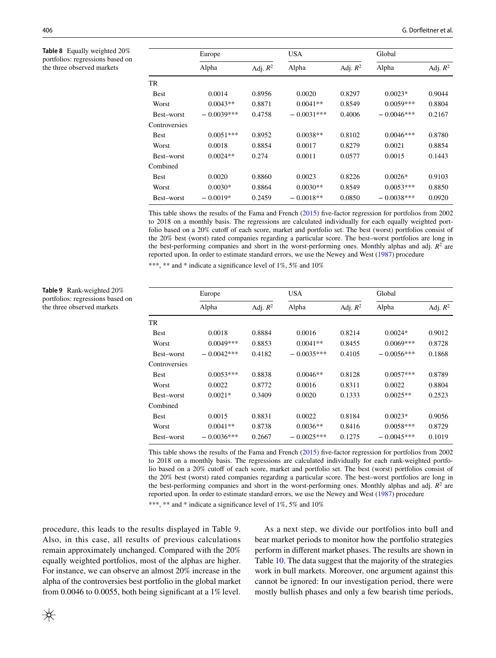<span id="page-13-0"></span>**Table 8** Equally weighted 20% portfolios: regressions based on the three observed markets

|               | Europe       |            | <b>USA</b>   |            | Global       |            |
|---------------|--------------|------------|--------------|------------|--------------|------------|
|               | Alpha        | Adj. $R^2$ | Alpha        | Adj. $R^2$ | Alpha        | Adj. $R^2$ |
| TR            |              |            |              |            |              |            |
| <b>Best</b>   | 0.0014       | 0.8956     | 0.0020       | 0.8297     | $0.0023*$    | 0.9044     |
| Worst         | $0.0043**$   | 0.8871     | $0.0041**$   | 0.8549     | $0.0059***$  | 0.8804     |
| Best-worst    | $-0.0039***$ | 0.4758     | $-0.0031***$ | 0.4006     | $-0.0046***$ | 0.2167     |
| Controversies |              |            |              |            |              |            |
| <b>Best</b>   | $0.0051***$  | 0.8952     | $0.0038**$   | 0.8102     | $0.0046***$  | 0.8780     |
| Worst         | 0.0018       | 0.8854     | 0.0017       | 0.8279     | 0.0021       | 0.8854     |
| Best-worst    | $0.0024**$   | 0.274      | 0.0011       | 0.0577     | 0.0015       | 0.1443     |
| Combined      |              |            |              |            |              |            |
| <b>Best</b>   | 0.0020       | 0.8860     | 0.0023       | 0.8226     | $0.0026*$    | 0.9103     |
| Worst         | $0.0030*$    | 0.8864     | $0.0030**$   | 0.8549     | $0.0053***$  | 0.8850     |
| Best-worst    | $-0.0019*$   | 0.2459     | $-0.0018**$  | 0.0850     | $-0.0038***$ | 0.0920     |

This table shows the results of the Fama and French [\(2015](#page-18-12)) fve-factor regression for portfolios from 2002 to 2018 on a monthly basis. The regressions are calculated individually for each equally weighted portfolio based on a 20% cutof of each score, market and portfolio set. The best (worst) portfolios consist of the 20% best (worst) rated companies regarding a particular score. The best–worst portfolios are long in the best-performing companies and short in the worst-performing ones. Monthly alphas and adj.  $R^2$  are reported upon. In order to estimate standard errors, we use the Newey and West ([1987\)](#page-18-44) procedure

\*\*\*, \*\* and \* indicate a significance level of 1%, 5% and 10%

<span id="page-13-1"></span>**Table 9** Rank-weighted 20% portfolios: regressions based on the three observed markets

|               | Europe       |            | <b>USA</b>   |            | Global       |            |
|---------------|--------------|------------|--------------|------------|--------------|------------|
|               | Alpha        | Adj. $R^2$ | Alpha        | Adj. $R^2$ | Alpha        | Adj. $R^2$ |
| TR            |              |            |              |            |              |            |
| <b>Best</b>   | 0.0018       | 0.8884     | 0.0016       | 0.8214     | $0.0024*$    | 0.9012     |
| Worst         | $0.0049***$  | 0.8853     | $0.0041**$   | 0.8455     | $0.0069***$  | 0.8728     |
| Best-worst    | $-0.0042***$ | 0.4182     | $-0.0035***$ | 0.4105     | $-0.0056***$ | 0.1868     |
| Controversies |              |            |              |            |              |            |
| <b>Best</b>   | $0.0053***$  | 0.8838     | $0.0046**$   | 0.8128     | $0.0057***$  | 0.8789     |
| Worst         | 0.0022       | 0.8772     | 0.0016       | 0.8311     | 0.0022       | 0.8804     |
| Best-worst    | $0.0021*$    | 0.3409     | 0.0020       | 0.1333     | $0.0025**$   | 0.2523     |
| Combined      |              |            |              |            |              |            |
| <b>Best</b>   | 0.0015       | 0.8831     | 0.0022       | 0.8184     | $0.0023*$    | 0.9056     |
| Worst         | $0.0041**$   | 0.8738     | $0.0036**$   | 0.8416     | $0.0058***$  | 0.8729     |
| Best-worst    | $-0.0036***$ | 0.2667     | $-0.0025***$ | 0.1275     | $-0.0045***$ | 0.1019     |

This table shows the results of the Fama and French [\(2015](#page-18-12)) fve-factor regression for portfolios from 2002 to 2018 on a monthly basis. The regressions are calculated individually for each rank-weighted portfolio based on a 20% cutof of each score, market and portfolio set. The best (worst) portfolios consist of the 20% best (worst) rated companies regarding a particular score. The best–worst portfolios are long in the best-performing companies and short in the worst-performing ones. Monthly alphas and adj.  $R^2$  are reported upon. In order to estimate standard errors, we use the Newey and West ([1987\)](#page-18-44) procedure \*\*\*, \*\* and \* indicate a significance level of 1%, 5% and 10%

procedure, this leads to the results displayed in Table [9.](#page-13-1) Also, in this case, all results of previous calculations remain approximately unchanged. Compared with the 20% equally weighted portfolios, most of the alphas are higher. For instance, we can observe an almost 20% increase in the alpha of the controversies best portfolio in the global market from 0.0046 to 0.0055, both being signifcant at a 1% level.

As a next step, we divide our portfolios into bull and bear market periods to monitor how the portfolio strategies perform in diferent market phases. The results are shown in Table [10.](#page-14-0) The data suggest that the majority of the strategies work in bull markets. Moreover, one argument against this cannot be ignored: In our investigation period, there were mostly bullish phases and only a few bearish time periods,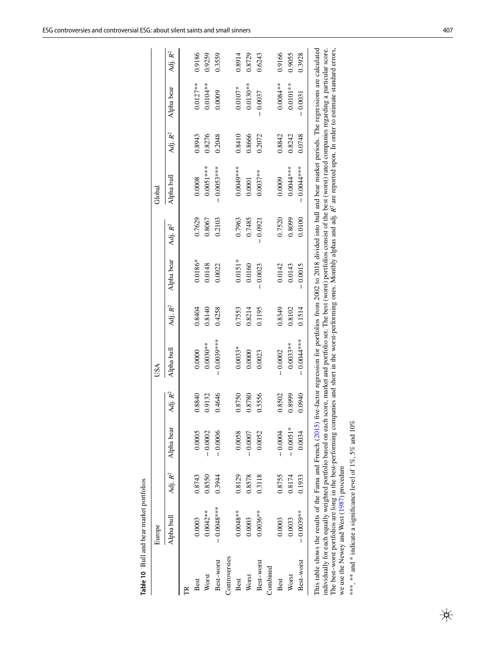<span id="page-14-0"></span>

| 1                       |
|-------------------------|
|                         |
|                         |
|                         |
|                         |
| .<br>.<br>.<br>.        |
|                         |
|                         |
|                         |
|                         |
|                         |
|                         |
|                         |
|                         |
| hant                    |
|                         |
|                         |
| į                       |
| an A                    |
| $\overline{\mathbb{Z}}$ |
|                         |
|                         |
|                         |
|                         |
|                         |
|                         |
|                         |
|                         |
|                         |
|                         |
|                         |
|                         |

|               | Table 10 Bull and bear market portfolios<br>Europe                                                       |            |            |                     | USA                                                                                                                                                                                                                                                                                                                                                                                                                                                                                                                                               |            |            |            | Global       |            |            |            |
|---------------|----------------------------------------------------------------------------------------------------------|------------|------------|---------------------|---------------------------------------------------------------------------------------------------------------------------------------------------------------------------------------------------------------------------------------------------------------------------------------------------------------------------------------------------------------------------------------------------------------------------------------------------------------------------------------------------------------------------------------------------|------------|------------|------------|--------------|------------|------------|------------|
|               | Alpha bull                                                                                               | Adj. $R^2$ | Alpha bear | Adj. R <sup>2</sup> | Alpha bull                                                                                                                                                                                                                                                                                                                                                                                                                                                                                                                                        | Adj. $R^2$ | Alpha bear | Adj. $R^2$ | Alpha bull   | Adj. $R^2$ | Alpha bear | Adj. $R^2$ |
|               |                                                                                                          |            |            |                     |                                                                                                                                                                                                                                                                                                                                                                                                                                                                                                                                                   |            |            |            |              |            |            |            |
| Best          | 0.0003                                                                                                   | 0.8743     | 0.0005     | 0.8840              | 0.0000                                                                                                                                                                                                                                                                                                                                                                                                                                                                                                                                            | 0.8404     | $0.0186*$  | 0.7629     | 0.0008       | 0.8943     | $0.0127**$ | 0.9186     |
| Worst         | $0.0042***$                                                                                              | 0.8550     | $-0.0002$  | 0.9132              | $0.0030**$                                                                                                                                                                                                                                                                                                                                                                                                                                                                                                                                        | 0.8140     | 0.0148     | 0.8067     | $0.0051***$  | 0.8276     | $0.0104**$ | 0.9259     |
| Best-worst    | $-0.0048***$                                                                                             | 0.3944     | $-0.0006$  | 0.4646              | $-0.0039***$                                                                                                                                                                                                                                                                                                                                                                                                                                                                                                                                      | 0.4258     | 0.0022     | 0.2103     | $-0.0053***$ | 0.2048     | 0.0009     | 0.3559     |
| Controversies |                                                                                                          |            |            |                     |                                                                                                                                                                                                                                                                                                                                                                                                                                                                                                                                                   |            |            |            |              |            |            |            |
| Best          | $0.0048***$                                                                                              | 0.8129     | 0.0058     | 0.8750              | $0.0033*$                                                                                                                                                                                                                                                                                                                                                                                                                                                                                                                                         | 0.7553     | $0.0151*$  | 0.7963     | $0.0049***$  | 0.8410     | $0.0107*$  | 0.8914     |
| Worst         | 0.0003                                                                                                   | 0.8578     | $-0.0007$  | 0.8780              | 0.0000                                                                                                                                                                                                                                                                                                                                                                                                                                                                                                                                            | 0.8214     | 0.0160     | 0.7485     | 0.0001       | 0.8666     | $0.0130**$ | 0.8729     |
| Best-worst    | $0.0036***$                                                                                              | 0.3118     | 0.0052     | 0.5556              | 0.0023                                                                                                                                                                                                                                                                                                                                                                                                                                                                                                                                            | 0.1195     | 0.0023     | $-0.0921$  | $0.0037***$  | 0.2072     | $-0.0037$  | 0.6243     |
| Combined      |                                                                                                          |            |            |                     |                                                                                                                                                                                                                                                                                                                                                                                                                                                                                                                                                   |            |            |            |              |            |            |            |
| Best          | 0.0003                                                                                                   | 0.8755     | $-0.0004$  | 0.8502              | $-0.0002$                                                                                                                                                                                                                                                                                                                                                                                                                                                                                                                                         | 0.8349     | 0.0142     | 0.7520     | 0.0009       | 0.8842     | $0.0084**$ | 0.9166     |
| Worst         | 0.0033                                                                                                   | 0.8174     | $-0.0051*$ | 0.8999              | $0.0033***$                                                                                                                                                                                                                                                                                                                                                                                                                                                                                                                                       | 0.8102     | 0.0143     | 0.8099     | $0.0044***$  | 0.8242     | $0.0101**$ | 0.9055     |
| Best-worst    | $-0.0039**$                                                                                              | 0.1933     | 0.0034     | 0.0940              | $-0.0044***$                                                                                                                                                                                                                                                                                                                                                                                                                                                                                                                                      | 0.1514     | $-0.0015$  | 0.0100     | $-0.0044***$ | 0.0748     | $-0.0031$  | 0.3928     |
|               | This table shows the results of the Fama and French (2015)<br>we use the Newey and West (1987) procedure |            |            |                     | individually for each equally weighted portfolio based on each score, market and portfolios set. The best (worst) portfolios consist of the best (worst) rated companies regarding a particular score.<br>five-factor regression for portfolios from 2002 to 2018 divided into bull and bear market periods. The regressions are calculated<br>The best-worst portfollos are long in the best-performing companies and short in the worst-performing ones. Monthly alphas and adj. $R^2$ are reported upon. In order to estimate standard errors, |            |            |            |              |            |            |            |
|               | ***, *** and * indicate a significance level of 1%, 5% and 10%                                           |            |            |                     |                                                                                                                                                                                                                                                                                                                                                                                                                                                                                                                                                   |            |            |            |              |            |            |            |

米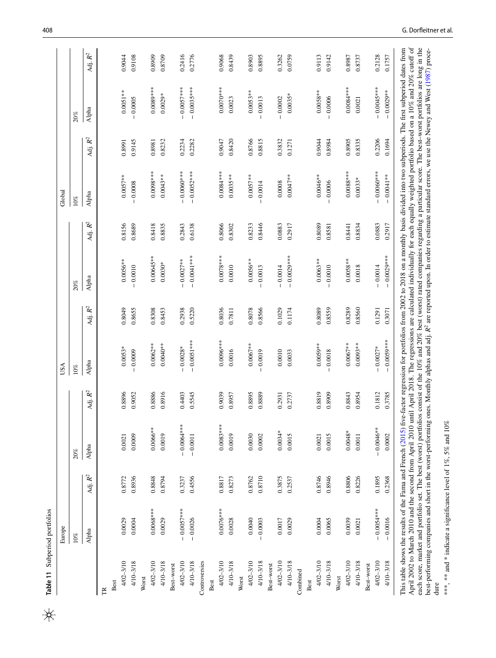|               | Europe                                                        |                     |                                                                                                                                                                                                                                                                                                                                                                                                                                                                                                                                                                                                      |                     | USA          |                     |              |                     | Global                                                                                                                               |                     |              |                     |
|---------------|---------------------------------------------------------------|---------------------|------------------------------------------------------------------------------------------------------------------------------------------------------------------------------------------------------------------------------------------------------------------------------------------------------------------------------------------------------------------------------------------------------------------------------------------------------------------------------------------------------------------------------------------------------------------------------------------------------|---------------------|--------------|---------------------|--------------|---------------------|--------------------------------------------------------------------------------------------------------------------------------------|---------------------|--------------|---------------------|
|               | $10\%$                                                        |                     | 20%                                                                                                                                                                                                                                                                                                                                                                                                                                                                                                                                                                                                  |                     | 10%          |                     | 20%          |                     | 10%                                                                                                                                  |                     | 20%          |                     |
|               | Alpha                                                         | Adj. $\mathbb{R}^2$ | Alpha                                                                                                                                                                                                                                                                                                                                                                                                                                                                                                                                                                                                | Adj. $\mathbb{R}^2$ | Alpha        | Adj. $\mathbb{R}^2$ | Alpha        | Adj. $\mathbb{R}^2$ | Alpha                                                                                                                                | Adj. $\mathbb{R}^2$ | Alpha        | Adj. $\mathbb{R}^2$ |
| 臣             |                                                               |                     |                                                                                                                                                                                                                                                                                                                                                                                                                                                                                                                                                                                                      |                     |              |                     |              |                     |                                                                                                                                      |                     |              |                     |
| Best          |                                                               |                     |                                                                                                                                                                                                                                                                                                                                                                                                                                                                                                                                                                                                      |                     |              |                     |              |                     |                                                                                                                                      |                     |              |                     |
| $4/02 - 3/10$ | 0.0029                                                        | 0.8772              | 0.0021                                                                                                                                                                                                                                                                                                                                                                                                                                                                                                                                                                                               | 0.8896              | $0.0053*$    | 0.8049              | $0.0056**$   | 0.8156              | $0.0057**$                                                                                                                           | 0.8991              | $0.0051**$   | 0.9044              |
| $4/10 - 3/18$ | 0.0004                                                        | 0.8936              | 0.0009                                                                                                                                                                                                                                                                                                                                                                                                                                                                                                                                                                                               | 0.9052              | 0.0009       | 0.8655              | $-0.0010$    | 0.8689              | 0.0008                                                                                                                               | 0.9145              | $-0.0005$    | 0.9108              |
| Worst         |                                                               |                     |                                                                                                                                                                                                                                                                                                                                                                                                                                                                                                                                                                                                      |                     |              |                     |              |                     |                                                                                                                                      |                     |              |                     |
| $4/02 - 3/10$ | $0.0068***$                                                   | 0.8848              | $0.0066**$                                                                                                                                                                                                                                                                                                                                                                                                                                                                                                                                                                                           | 0.8886              | $0.0062**$   | 0.8308              | $0.00645**$  | 0.8418              | $0.0098***$                                                                                                                          | 0.8981              | $0.0089***$  | 0.8909              |
| $4/10 - 3/18$ | 0.0029                                                        | 0.8794              | 0.0019                                                                                                                                                                                                                                                                                                                                                                                                                                                                                                                                                                                               | 0.8916              | $0.0040**$   | 0.8453              | $0.0030*$    | 0.8835              | $0.0043**$                                                                                                                           | 0.8232              | $0.0029*$    | 0.8709              |
| Best-worst    |                                                               |                     |                                                                                                                                                                                                                                                                                                                                                                                                                                                                                                                                                                                                      |                     |              |                     |              |                     |                                                                                                                                      |                     |              |                     |
| $4/02 - 3/10$ | $-0.0057$ ***                                                 | 0.3237              | $-0.0064***$                                                                                                                                                                                                                                                                                                                                                                                                                                                                                                                                                                                         | 0.4403              | $-0.0028*$   | 0.2938              | $-0.0027**$  | 0.2843              | $-0.0000$                                                                                                                            | 0.2234              | $-0.0057***$ | 0.2416              |
| $4/10 - 3/18$ | $-0.0026$                                                     | 0.4556              | $-0.0011$                                                                                                                                                                                                                                                                                                                                                                                                                                                                                                                                                                                            | 0.5545              | $-0.0051***$ | 0.5220              | $-0.001$ *** | 0.6138              | $-0.0052***$                                                                                                                         | 0.2282              | $-0.0035***$ | 0.2776              |
| Controversies |                                                               |                     |                                                                                                                                                                                                                                                                                                                                                                                                                                                                                                                                                                                                      |                     |              |                     |              |                     |                                                                                                                                      |                     |              |                     |
| Best          |                                                               |                     |                                                                                                                                                                                                                                                                                                                                                                                                                                                                                                                                                                                                      |                     |              |                     |              |                     |                                                                                                                                      |                     |              |                     |
| $4/02 - 3/10$ | $0.0076***$                                                   | 0.8817              | $0.0083***$                                                                                                                                                                                                                                                                                                                                                                                                                                                                                                                                                                                          | 0.9039              | $0.0096***$  | 0.8036              | $0.0078***$  | 0.8066              | $0.0084***$                                                                                                                          | 0.9047              | $0.0070***$  | 0.9068              |
| $4/10 - 3/18$ | 0.0028                                                        | 0.8273              | 0.0019                                                                                                                                                                                                                                                                                                                                                                                                                                                                                                                                                                                               | 0.8957              | 0.0016       | 0.7811              | 0.0010       | 0.8302              | $0.0035***$                                                                                                                          | 0.8420              | 0.0023       | 0.8439              |
| Worst         |                                                               |                     |                                                                                                                                                                                                                                                                                                                                                                                                                                                                                                                                                                                                      |                     |              |                     |              |                     |                                                                                                                                      |                     |              |                     |
| $4/02 - 3/10$ | 0.0040                                                        | 0.8762              | 0.0030                                                                                                                                                                                                                                                                                                                                                                                                                                                                                                                                                                                               | 0.8895              | $0.0067***$  | 0.8078              | $0.0056**$   | 0.8233              | $0.0057***$                                                                                                                          | 0.8766              | $0.0053**$   | 0.8903              |
| $4/10 - 3/18$ | $-0.0003$                                                     | 0.8710              | 0.0002                                                                                                                                                                                                                                                                                                                                                                                                                                                                                                                                                                                               | 0.8889              | 0.0019       | 0.8566              | 0.0013       | 0.8446              | 0.0014                                                                                                                               | 0.8815              | 0.0013       | 0.8895              |
| Best-worst    |                                                               |                     |                                                                                                                                                                                                                                                                                                                                                                                                                                                                                                                                                                                                      |                     |              |                     |              |                     |                                                                                                                                      |                     |              |                     |
| $4/02 - 3/10$ | 0.0017                                                        | 0.3875              | $0.0034*$                                                                                                                                                                                                                                                                                                                                                                                                                                                                                                                                                                                            | 0.2931              | 0.0010       | 0.1029              | $-0.0014$    | 0.0883              | 0.0008                                                                                                                               | 0.3832              | $-0.0002$    | 0.3262              |
| $4/10 - 3/18$ | 0.0029                                                        | 0.2537              | 0.0015                                                                                                                                                                                                                                                                                                                                                                                                                                                                                                                                                                                               | 0.2737              | 0.0033       | 0.1174              | $-0.0029**$  | 0.2917              | $0.0047**$                                                                                                                           | 0.1271              | $0.0035*$    | 0.0759              |
| Combined      |                                                               |                     |                                                                                                                                                                                                                                                                                                                                                                                                                                                                                                                                                                                                      |                     |              |                     |              |                     |                                                                                                                                      |                     |              |                     |
| Best          |                                                               |                     |                                                                                                                                                                                                                                                                                                                                                                                                                                                                                                                                                                                                      |                     |              |                     |              |                     |                                                                                                                                      |                     |              |                     |
| $4/02 - 3/10$ | 0.0004                                                        | 0.8746              | 0.0021                                                                                                                                                                                                                                                                                                                                                                                                                                                                                                                                                                                               | 0.8819              | $0.0059**$   | 0.8089              | $0.0063**$   | 0.8089              | $0.0046**$                                                                                                                           | 0.9044              | $0.0058**$   | 0.9113              |
| $4/10 - 3/18$ | 0.0065                                                        | 0.8946              | 0.0015                                                                                                                                                                                                                                                                                                                                                                                                                                                                                                                                                                                               | 0.8909              | 0.0018       | 0.8559              | 0.0010       | 0.8581              | 0.0006                                                                                                                               | 0.8984              | 0.0006       | 0.9142              |
| Worst         |                                                               |                     |                                                                                                                                                                                                                                                                                                                                                                                                                                                                                                                                                                                                      |                     |              |                     |              |                     |                                                                                                                                      |                     |              |                     |
| $4/02 - 3/10$ | 0.0039                                                        | 0.8806              | $0.0048*$                                                                                                                                                                                                                                                                                                                                                                                                                                                                                                                                                                                            | 0.8843              | $0.0067**$   | 0.8289              | $0.0058**$   | 0.8441              | $0.0088***$                                                                                                                          | 0.8905              | $0.0084***$  | 0.8987              |
| $4/10 - 3/18$ | 0.0021                                                        | 0.8226              | 0.0011                                                                                                                                                                                                                                                                                                                                                                                                                                                                                                                                                                                               | 0.8954              | $0.0093**$   | 0.8560              | 0.0018       | 0.8834              | $0.0033*$                                                                                                                            | 0.8335              | 0.0021       | 0.8737              |
| Best-worst    |                                                               |                     |                                                                                                                                                                                                                                                                                                                                                                                                                                                                                                                                                                                                      |                     |              |                     |              |                     |                                                                                                                                      |                     |              |                     |
| $4/02 - 3/10$ | $-0.0054***$                                                  | 0.1895              | $-0.0046**$                                                                                                                                                                                                                                                                                                                                                                                                                                                                                                                                                                                          | 0.1812              | $0.0027*$    | 0.1291              | $-0.0014$    | 0.0883              | $0.0060***$                                                                                                                          | 0.2206              | $-0.0045***$ | 0.2128              |
| $4/10 - 3/18$ | $-0.0016$                                                     | 0.2368              | 0.0002                                                                                                                                                                                                                                                                                                                                                                                                                                                                                                                                                                                               | 0.3785              | $0.0059***$  | 0.3071              | $-0.0029***$ | 0.2917              | $-0.0041**$                                                                                                                          | 0.1694              | $-0.0029**$  | 0.1757              |
|               | best-performing companies and short in the worst-performing   |                     | April 2002 to March 2010 and the second from April 2010 until April 2018. The regressions are calculated individually for each equally weighted portfolio based on a 10% and 20% cutoff of<br>each score, market and portfolio set. The best (worst) portfolios consist of the 10% and 20% best (worst) rated companies regarding a particular score. The best-worst portfolios are long in the<br>This table shows the results of the Fama and French (2015) five-factor regression for portfolios from 2002 to 2018 on a monthly basis divided into two subperiods. The first subperiod dates from |                     |              |                     |              |                     | ones. Monthly alphas and adj. $R^2$ are reported upon. In order to estimate standard errors, we use the Newey and West (1987) proce- |                     |              |                     |
| dure          | ***, ** and * indicate a significance level of 1%, 5% and 10% |                     |                                                                                                                                                                                                                                                                                                                                                                                                                                                                                                                                                                                                      |                     |              |                     |              |                     |                                                                                                                                      |                     |              |                     |
|               |                                                               |                     |                                                                                                                                                                                                                                                                                                                                                                                                                                                                                                                                                                                                      |                     |              |                     |              |                     |                                                                                                                                      |                     |              |                     |

<span id="page-15-0"></span> $\frac{1}{\sqrt{2}}$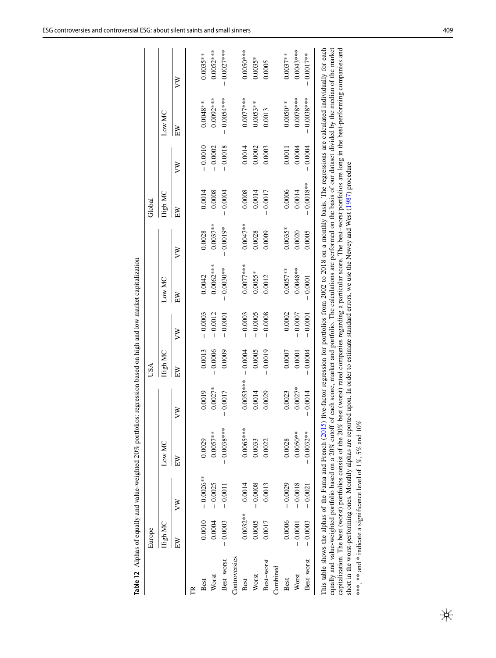|               |             |              | Table 12 Alphas of equally and value-weighted 20% portfolios: regression based on high and low market capitalization                                                                                                                                                                                                                                                                                                                                                                                                                                         |             |           |             |              |                       |             |             |                                                                                                                                                                                                                                                                      |               |
|---------------|-------------|--------------|--------------------------------------------------------------------------------------------------------------------------------------------------------------------------------------------------------------------------------------------------------------------------------------------------------------------------------------------------------------------------------------------------------------------------------------------------------------------------------------------------------------------------------------------------------------|-------------|-----------|-------------|--------------|-----------------------|-------------|-------------|----------------------------------------------------------------------------------------------------------------------------------------------------------------------------------------------------------------------------------------------------------------------|---------------|
|               | Europe      |              |                                                                                                                                                                                                                                                                                                                                                                                                                                                                                                                                                              |             | USA       |             |              |                       | Global      |             |                                                                                                                                                                                                                                                                      |               |
|               | High MC     |              | Low MC                                                                                                                                                                                                                                                                                                                                                                                                                                                                                                                                                       |             | High MC   |             | Low MC       |                       | High MC     |             | Low MC                                                                                                                                                                                                                                                               |               |
|               | EN          | $\geqslant$  | EN                                                                                                                                                                                                                                                                                                                                                                                                                                                                                                                                                           | ₹           | EN        | $\geqslant$ | $\mathbb{E}$ | $\breve{\varepsilon}$ | EW          | $\geqslant$ | $E$ W                                                                                                                                                                                                                                                                | $\geqslant$   |
|               |             |              |                                                                                                                                                                                                                                                                                                                                                                                                                                                                                                                                                              |             |           |             |              |                       |             |             |                                                                                                                                                                                                                                                                      |               |
| Best          | 0.0010      | $-0.0026***$ | 0.0029                                                                                                                                                                                                                                                                                                                                                                                                                                                                                                                                                       | 0.0019      | 0.0013    | $-0.0003$   | 0.0042       | 0.0028                | 0.0014      | $-0.0010$   | $0.0048***$                                                                                                                                                                                                                                                          | $0.0035**$    |
| Worst         | 0.0004      | $-0.0025$    | $0.0057**$                                                                                                                                                                                                                                                                                                                                                                                                                                                                                                                                                   | $0.0027*$   | $-0.0006$ | $-0.0012$   | $0.0062***$  | $0.0037***$           | 0.0008      | $-0.0002$   | $0.0092***$                                                                                                                                                                                                                                                          | $0.0052***$   |
| Best-worst    | $-0.0003$   | $-0.0011$    | $-0.0038***$                                                                                                                                                                                                                                                                                                                                                                                                                                                                                                                                                 | $-0.0017$   | 0.0009    | $-0.0001$   | $-0.0030**$  | $-0.0019*$            | $-0.0004$   | $-0.0018$   | $-0.0054***$                                                                                                                                                                                                                                                         | $-0.0027$ *** |
| Controversies |             |              |                                                                                                                                                                                                                                                                                                                                                                                                                                                                                                                                                              |             |           |             |              |                       |             |             |                                                                                                                                                                                                                                                                      |               |
| Best          | $0.0032***$ | 0.0014       | $0.0065***$                                                                                                                                                                                                                                                                                                                                                                                                                                                                                                                                                  | $0.0053***$ | $-0.0004$ | $-0.0003$   | $0.0077***$  | $0.0047**$            | 0.0008      | 0.0014      | $0.0077***$                                                                                                                                                                                                                                                          | $0.0050***$   |
| Worst         | 0.0005      | $-0.0008$    | 0.0033                                                                                                                                                                                                                                                                                                                                                                                                                                                                                                                                                       | 0.0014      | 0.0005    | $-0.0005$   | $0.0055*$    | 0.0028                | 0.0014      | 0.0002      | $0.0053**$                                                                                                                                                                                                                                                           | $0.0035*$     |
| Best-worst    | 0.0017      | 0.0013       | 0.0022                                                                                                                                                                                                                                                                                                                                                                                                                                                                                                                                                       | 0.0029      | $-0.0019$ | $-0.0008$   | 0.0012       | 0.0009                | $-0.0017$   | 0.0003      | 0.0013                                                                                                                                                                                                                                                               | 0.0005        |
| Combined      |             |              |                                                                                                                                                                                                                                                                                                                                                                                                                                                                                                                                                              |             |           |             |              |                       |             |             |                                                                                                                                                                                                                                                                      |               |
| Best          | 0.0006      | $-0.0029$    | 0.0028                                                                                                                                                                                                                                                                                                                                                                                                                                                                                                                                                       | 0.0023      | 0.0007    | 0.0002      | $0.0057***$  | $0.0035*$             | 0.0006      | 0.0011      | $0.0050**$                                                                                                                                                                                                                                                           | $0.0037***$   |
| Worst         | $-0.0001$   | $-0.0018$    | $0.0050**$                                                                                                                                                                                                                                                                                                                                                                                                                                                                                                                                                   | $0.0027*$   | 0.0001    | $-0.0007$   | $0.0048**$   | 0.0020                | 0.0014      | 0.0004      | $0.0078***$                                                                                                                                                                                                                                                          | $0.0043***$   |
| Best-worst    | $-0.0003$   | $-0.0021$    | $-0.0032***$                                                                                                                                                                                                                                                                                                                                                                                                                                                                                                                                                 | $-0.0014$   | $-0.0004$ | $-0.0001$   | $-0.0001$    | 0.0005                | $-0.0018**$ | $-0.0004$   | $-0.0038***$                                                                                                                                                                                                                                                         | $0.0017**$    |
|               |             |              | capitalization. The best (worst) portfolios consist of the 20% best (worst) rated companies regarding a particular score. The best-worst portfolios are long in the best-performing companies and<br>short in the worst-performing ones. Monthly alphas are reported upon. In order to estimate standard errors, we use the Newey and West (1987) procedure<br>equally and value-weighted portfolio based on a 20% cutoff of<br>This table shows the alphas of the Fama and French (2015) :<br>***, ** and * indicate a significance level of 1%, 5% and 10% |             |           |             |              |                       |             |             | each score, market and portfolio. The calculations are performed on the basis of our dataset divided by the median of the market<br>five-factor regression for portfolios from 2002 to 2018 on a monthly basis. The regressions are calculated individually for each |               |

<span id="page-16-0"></span>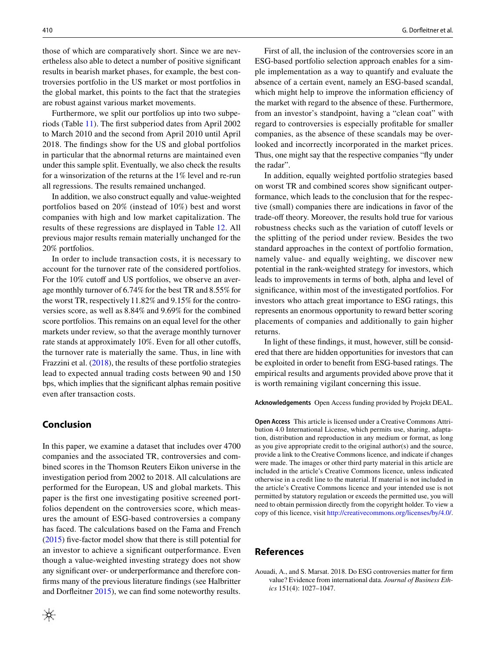those of which are comparatively short. Since we are nevertheless also able to detect a number of positive signifcant results in bearish market phases, for example, the best controversies portfolio in the US market or most portfolios in the global market, this points to the fact that the strategies are robust against various market movements.

Furthermore, we split our portfolios up into two subperiods (Table [11](#page-15-0)). The frst subperiod dates from April 2002 to March 2010 and the second from April 2010 until April 2018. The fndings show for the US and global portfolios in particular that the abnormal returns are maintained even under this sample split. Eventually, we also check the results for a winsorization of the returns at the 1% level and re-run all regressions. The results remained unchanged.

In addition, we also construct equally and value-weighted portfolios based on 20% (instead of 10%) best and worst companies with high and low market capitalization. The results of these regressions are displayed in Table [12.](#page-16-0) All previous major results remain materially unchanged for the 20% portfolios.

In order to include transaction costs, it is necessary to account for the turnover rate of the considered portfolios. For the 10% cutoff and US portfolios, we observe an average monthly turnover of 6.74% for the best TR and 8.55% for the worst TR, respectively 11.82% and 9.15% for the controversies score, as well as 8.84% and 9.69% for the combined score portfolios. This remains on an equal level for the other markets under review, so that the average monthly turnover rate stands at approximately 10%. Even for all other cutofs, the turnover rate is materially the same. Thus, in line with Frazzini et al. [\(2018](#page-18-46)), the results of these portfolio strategies lead to expected annual trading costs between 90 and 150 bps, which implies that the signifcant alphas remain positive even after transaction costs.

## <span id="page-17-1"></span>**Conclusion**

In this paper, we examine a dataset that includes over 4700 companies and the associated TR, controversies and combined scores in the Thomson Reuters Eikon universe in the investigation period from 2002 to 2018. All calculations are performed for the European, US and global markets. This paper is the frst one investigating positive screened portfolios dependent on the controversies score, which measures the amount of ESG-based controversies a company has faced. The calculations based on the Fama and French [\(2015](#page-18-12)) fve-factor model show that there is still potential for an investor to achieve a signifcant outperformance. Even though a value-weighted investing strategy does not show any signifcant over- or underperformance and therefore confrms many of the previous literature fndings (see Halbritter and Dorfeitner [2015\)](#page-18-13), we can fnd some noteworthy results.

First of all, the inclusion of the controversies score in an ESG-based portfolio selection approach enables for a simple implementation as a way to quantify and evaluate the absence of a certain event, namely an ESG-based scandal, which might help to improve the information efficiency of the market with regard to the absence of these. Furthermore, from an investor's standpoint, having a "clean coat" with regard to controversies is especially proftable for smaller companies, as the absence of these scandals may be overlooked and incorrectly incorporated in the market prices. Thus, one might say that the respective companies "fy under the radar".

In addition, equally weighted portfolio strategies based on worst TR and combined scores show signifcant outperformance, which leads to the conclusion that for the respective (small) companies there are indications in favor of the trade-off theory. Moreover, the results hold true for various robustness checks such as the variation of cutoff levels or the splitting of the period under review. Besides the two standard approaches in the context of portfolio formation, namely value- and equally weighting, we discover new potential in the rank-weighted strategy for investors, which leads to improvements in terms of both, alpha and level of signifcance, within most of the investigated portfolios. For investors who attach great importance to ESG ratings, this represents an enormous opportunity to reward better scoring placements of companies and additionally to gain higher returns.

In light of these fndings, it must, however, still be considered that there are hidden opportunities for investors that can be exploited in order to beneft from ESG-based ratings. The empirical results and arguments provided above prove that it is worth remaining vigilant concerning this issue.

**Acknowledgements** Open Access funding provided by Projekt DEAL.

**Open Access** This article is licensed under a Creative Commons Attribution 4.0 International License, which permits use, sharing, adaptation, distribution and reproduction in any medium or format, as long as you give appropriate credit to the original author(s) and the source, provide a link to the Creative Commons licence, and indicate if changes were made. The images or other third party material in this article are included in the article's Creative Commons licence, unless indicated otherwise in a credit line to the material. If material is not included in the article's Creative Commons licence and your intended use is not permitted by statutory regulation or exceeds the permitted use, you will need to obtain permission directly from the copyright holder. To view a copy of this licence, visit<http://creativecommons.org/licenses/by/4.0/>.

## **References**

<span id="page-17-0"></span>Aouadi, A., and S. Marsat. 2018. Do ESG controversies matter for frm value? Evidence from international data. *Journal of Business Ethics* 151(4): 1027–1047.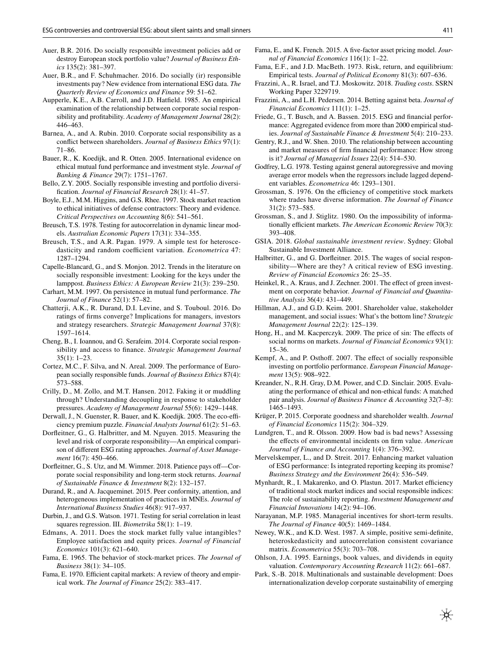- <span id="page-18-16"></span>Auer, B.R. 2016. Do socially responsible investment policies add or destroy European stock portfolio value? *Journal of Business Ethics* 135(2): 381–397.
- <span id="page-18-17"></span>Auer, B.R., and F. Schuhmacher. 2016. Do socially (ir) responsible investments pay? New evidence from international ESG data. *The Quarterly Review of Economics and Finance* 59: 51–62.
- <span id="page-18-32"></span>Aupperle, K.E., A.B. Carroll, and J.D. Hatfeld. 1985. An empirical examination of the relationship between corporate social responsibility and proftability. *Academy of Management Journal* 28(2): 446–463.
- <span id="page-18-29"></span>Barnea, A., and A. Rubin. 2010. Corporate social responsibility as a confict between shareholders. *Journal of Business Ethics* 97(1): 71–86.
- <span id="page-18-5"></span>Bauer, R., K. Koedijk, and R. Otten. 2005. International evidence on ethical mutual fund performance and investment style. *Journal of Banking & Finance* 29(7): 1751–1767.
- <span id="page-18-6"></span>Bello, Z.Y. 2005. Socially responsible investing and portfolio diversifcation. *Journal of Financial Research* 28(1): 41–57.
- <span id="page-18-28"></span>Boyle, E.J., M.M. Higgins, and G.S. Rhee. 1997. Stock market reaction to ethical initiatives of defense contractors: Theory and evidence. *Critical Perspectives on Accounting* 8(6): 541–561.
- <span id="page-18-42"></span>Breusch, T.S. 1978. Testing for autocorrelation in dynamic linear models. *Australian Economic Papers* 17(31): 334–355.
- <span id="page-18-40"></span>Breusch, T.S., and A.R. Pagan. 1979. A simple test for heteroscedasticity and random coefficient variation. *Econometrica* 47: 1287–1294.
- <span id="page-18-1"></span>Capelle-Blancard, G., and S. Monjon. 2012. Trends in the literature on socially responsible investment: Looking for the keys under the lamppost. *Business Ethics: A European Review* 21(3): 239–250.
- <span id="page-18-14"></span>Carhart, M.M. 1997. On persistence in mutual fund performance. *The Journal of Finance* 52(1): 57–82.
- <span id="page-18-3"></span>Chatterji, A.K., R. Durand, D.I. Levine, and S. Touboul. 2016. Do ratings of frms converge? Implications for managers, investors and strategy researchers. *Strategic Management Journal* 37(8): 1597–1614.
- <span id="page-18-38"></span>Cheng, B., I. Ioannou, and G. Serafeim. 2014. Corporate social responsibility and access to fnance. *Strategic Management Journal* 35(1): 1–23.
- <span id="page-18-8"></span>Cortez, M.C., F. Silva, and N. Areal. 2009. The performance of European socially responsible funds. *Journal of Business Ethics* 87(4): 573–588.
- <span id="page-18-23"></span>Crilly, D., M. Zollo, and M.T. Hansen. 2012. Faking it or muddling through? Understanding decoupling in response to stakeholder pressures. *Academy of Management Journal* 55(6): 1429–1448.
- <span id="page-18-25"></span>Derwall, J., N. Guenster, R. Bauer, and K. Koedijk. 2005. The eco-efficiency premium puzzle. *Financial Analysts Journal* 61(2): 51–63.
- <span id="page-18-2"></span>Dorfleitner, G., G. Halbritter, and M. Nguyen. 2015. Measuring the level and risk of corporate responsibility—An empirical comparison of diferent ESG rating approaches. *Journal of Asset Management* 16(7): 450–466.
- <span id="page-18-27"></span>Dorfeitner, G., S. Utz, and M. Wimmer. 2018. Patience pays of—Corporate social responsibility and long-term stock returns. *Journal of Sustainable Finance & Investment* 8(2): 132–157.
- <span id="page-18-39"></span>Durand, R., and A. Jacqueminet. 2015. Peer conformity, attention, and heterogeneous implementation of practices in MNEs. *Journal of International Business Studies* 46(8): 917–937.
- <span id="page-18-43"></span>Durbin, J., and G.S. Watson. 1971. Testing for serial correlation in least squares regression. III. *Biometrika* 58(1): 1–19.
- <span id="page-18-26"></span>Edmans, A. 2011. Does the stock market fully value intangibles? Employee satisfaction and equity prices. *Journal of Financial Economics* 101(3): 621–640.
- <span id="page-18-33"></span>Fama, E. 1965. The behavior of stock-market prices. *The Journal of Business* 38(1): 34–105.
- <span id="page-18-34"></span>Fama, E. 1970. Efficient capital markets: A review of theory and empirical work. *The Journal of Finance* 25(2): 383–417.
- <span id="page-18-12"></span>Fama, E., and K. French. 2015. A fve-factor asset pricing model. *Journal of Financial Economics* 116(1): 1–22.
- <span id="page-18-15"></span>Fama, E.F., and J.D. MacBeth. 1973. Risk, return, and equilibrium: Empirical tests. *Journal of Political Economy* 81(3): 607–636.
- <span id="page-18-46"></span>Frazzini, A., R. Israel, and T.J. Moskowitz. 2018. *Trading costs*. SSRN Working Paper 3229719.
- <span id="page-18-45"></span>Frazzini, A., and L.H. Pedersen. 2014. Betting against beta. *Journal of Financial Economics* 111(1): 1–25.
- <span id="page-18-0"></span>Friede, G., T. Busch, and A. Bassen. 2015. ESG and fnancial performance: Aggregated evidence from more than 2000 empirical studies. *Journal of Sustainable Finance & Investment* 5(4): 210–233.
- <span id="page-18-21"></span>Gentry, R.J., and W. Shen. 2010. The relationship between accounting and market measures of frm fnancial performance: How strong is it? *Journal of Managerial Issues* 22(4): 514–530.
- <span id="page-18-41"></span>Godfrey, L.G. 1978. Testing against general autoregressive and moving average error models when the regressors include lagged dependent variables. *Econometrica* 46: 1293–1301.
- <span id="page-18-35"></span>Grossman, S. 1976. On the efficiency of competitive stock markets where trades have diverse information. *The Journal of Finance* 31(2): 573–585.
- <span id="page-18-36"></span>Grossman, S., and J. Stiglitz. 1980. On the impossibility of informationally efficient markets. *The American Economic Review* 70(3): 393–408.
- <span id="page-18-22"></span>GSIA. 2018. *Global sustainable investment review*. Sydney: Global Sustainable Investment Alliance.
- <span id="page-18-13"></span>Halbritter, G., and G. Dorfleitner. 2015. The wages of social responsibility—Where are they? A critical review of ESG investing. *Review of Financial Economics* 26: 25–35.
- <span id="page-18-31"></span>Heinkel, R., A. Kraus, and J. Zechner. 2001. The effect of green investment on corporate behavior. *Journal of Financial and Quantitative Analysis* 36(4): 431–449.
- <span id="page-18-20"></span>Hillman, A.J., and G.D. Keim. 2001. Shareholder value, stakeholder management, and social issues: What's the bottom line? *Strategic Management Journal* 22(2): 125–139.
- <span id="page-18-30"></span>Hong, H., and M. Kacperczyk. 2009. The price of sin: The efects of social norms on markets. *Journal of Financial Economics* 93(1): 15–36.
- <span id="page-18-9"></span>Kempf, A., and P. Osthoff. 2007. The effect of socially responsible investing on portfolio performance. *European Financial Management* 13(5): 908–922.
- <span id="page-18-7"></span>Kreander, N., R.H. Gray, D.M. Power, and C.D. Sinclair. 2005. Evaluating the performance of ethical and non-ethical funds: A matched pair analysis. *Journal of Business Finance & Accounting* 32(7–8): 1465–1493.
- <span id="page-18-19"></span>Krüger, P. 2015. Corporate goodness and shareholder wealth. *Journal of Financial Economics* 115(2): 304–329.
- <span id="page-18-18"></span>Lundgren, T., and R. Olsson. 2009. How bad is bad news? Assessing the efects of environmental incidents on frm value. *American Journal of Finance and Accounting* 1(4): 376–392.
- <span id="page-18-10"></span>Mervelskemper, L., and D. Streit. 2017. Enhancing market valuation of ESG performance: Is integrated reporting keeping its promise? *Business Strategy and the Environment* 26(4): 536–549.
- <span id="page-18-37"></span>Mynhardt, R., I. Makarenko, and O. Plastun. 2017. Market efficiency of traditional stock market indices and social responsible indices: The role of sustainability reporting. *Investment Management and Financial Innovations* 14(2): 94–106.
- <span id="page-18-24"></span>Narayanan, M.P. 1985. Managerial incentives for short-term results. *The Journal of Finance* 40(5): 1469–1484.
- <span id="page-18-44"></span>Newey, W.K., and K.D. West. 1987. A simple, positive semi-defnite, heteroskedasticity and autocorrelation consistent covariance matrix. *Econometrica* 55(3): 703–708.
- <span id="page-18-11"></span>Ohlson, J.A. 1995. Earnings, book values, and dividends in equity valuation. *Contemporary Accounting Research* 11(2): 661–687.
- <span id="page-18-4"></span>Park, S.-B. 2018. Multinationals and sustainable development: Does internationalization develop corporate sustainability of emerging